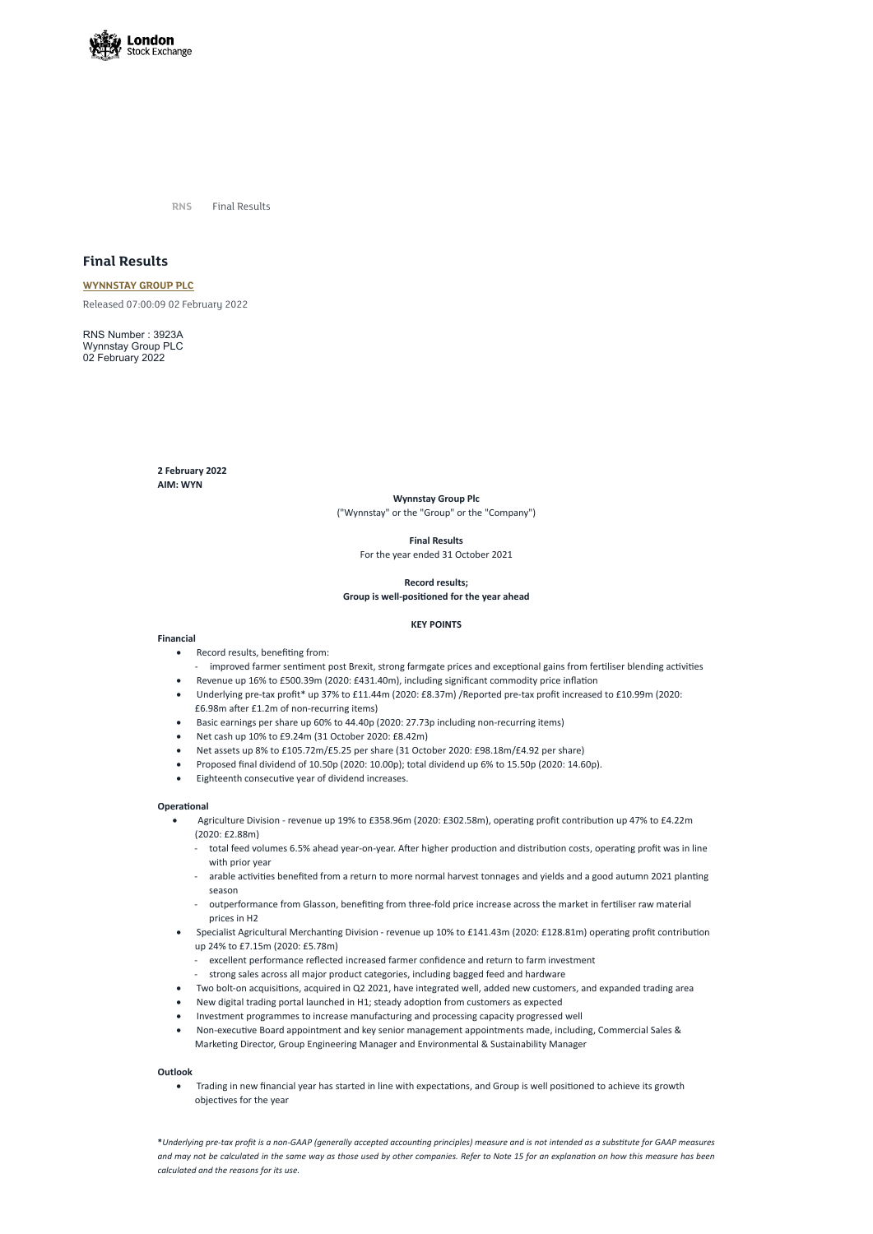

**RNS** Final Results

# **Final Results**

**[WYNNSTAY](https://www.londonstockexchange.com/stock/WYN/wynnstay-group-plc) GROUP PLC** Released 07:00:09 02 February 2022

RNS Number : 3923A Wynnstay Group PLC 02 February 2022

> **2 February 2022 AIM: WYN**

- · Record results, benefiting from:
	- improved farmer sentiment post Brexit, strong farmgate prices and exceptional gains from fertiliser blending activities
- Revenue up 16% to £500.39m (2020: £431.40m), including significant commodity price inflation
- · Underlying pre-tax profit\* up 37% to £11.44m (2020: £8.37m) /Reported pre-tax profit increased to £10.99m (2020: £6.98m after £1.2m of non-recurring items)
- Basic earnings per share up 60% to 44.40p (2020: 27.73p including non-recurring items)
- · Net cash up 10% to £9.24m (31 October 2020: £8.42m)
- · Net assets up 8% to £105.72m/£5.25 per share (31 October 2020: £98.18m/£4.92 per share)
- · Proposed final dividend of 10.50p (2020: 10.00p); total dividend up 6% to 15.50p (2020: 14.60p).
- Eighteenth consecutive year of dividend increases.

**Wynnstay Group Plc** ("Wynnstay" or the "Group" or the "Company")

**Final Results**

For the year ended 31 October 2021

**Record results; Group is well-positioned for the year ahead**

# **KEY POINTS**

# **Financial**

# **Operational**

- · Agriculture Division revenue up 19% to £358.96m (2020: £302.58m), operating profit contribution up 47% to £4.22m (2020: £2.88m)
	- total feed volumes 6.5% ahead year-on-year. After higher production and distribution costs, operating profit was in line with prior year
	- arable activities benefited from a return to more normal harvest tonnages and yields and a good autumn 2021 planting season
	- outperformance from Glasson, benefiting from three-fold price increase across the market in fertiliser raw material prices in H2
- 
- · Specialist Agricultural Merchanting Division revenue up 10% to £141.43m (2020: £128.81m) operating profit contribution up 24% to £7.15m (2020: £5.78m)
	- excellent performance reflected increased farmer confidence and return to farm investment
	- strong sales across all major product categories, including bagged feed and hardware
- · Two bolt-on acquisitions, acquired in Q2 2021, have integrated well, added new customers, and expanded trading area
- · New digital trading portal launched in H1; steady adoption from customers as expected
- · Investment programmes to increase manufacturing and processing capacity progressed well
- · Non-executive Board appointment and key senior management appointments made, including, Commercial Sales & Marketing Director, Group Engineering Manager and Environmental & Sustainability Manager

## **Outlook**

· Trading in new financial year has started in line with expectations, and Group is well positioned to achieve its growth objectives for the year

**\****Underlying pre-tax profit is a non-GAAP (generally accepted accounting principles) measure and is not intended as a substitute for GAAP measures and may not be calculated in the same way as those used by other companies. Refer to Note 15 for an explanation on how this measure has been calculated and the reasons for its use.*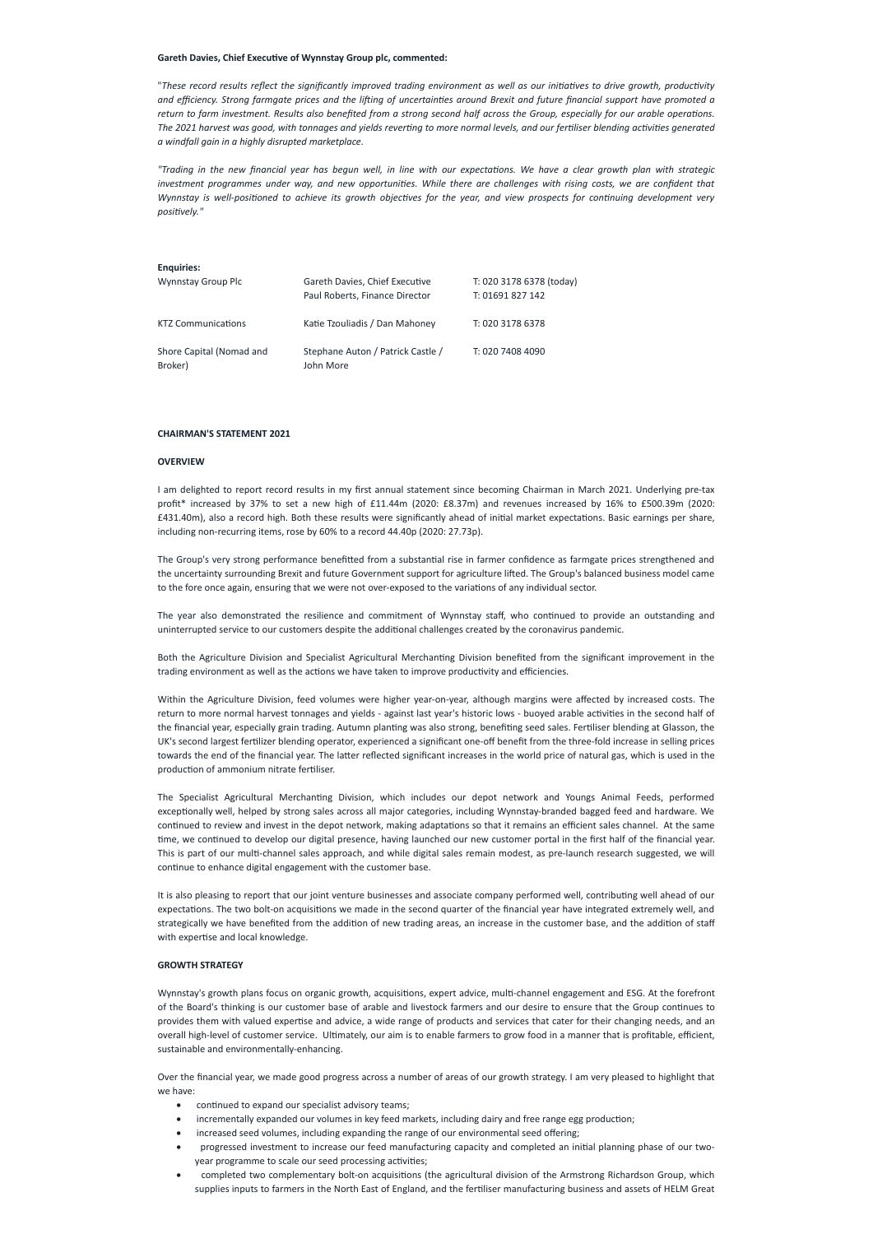#### **Gareth Davies, Chief Executive of Wynnstay Group plc, commented:**

"These record results reflect the significantly improved trading environment as well as our initiatives to drive growth, productivity and efficiency. Strong farmgate prices and the lifting of uncertainties around Brexit and future financial support have promoted a return to farm investment. Results also benefited from a strong second half across the Group, especially for our arable operations. The 2021 harvest was good, with tonnages and yields reverting to more normal levels, and our fertiliser blending activities generated *a windfall gain in a highly disrupted marketplace.*

"Trading in the new financial year has begun well, in line with our expectations. We have a clear growth plan with strategic investment programmes under way, and new opportunities. While there are challenges with rising costs, we are confident that Wynnstay is well-positioned to achieve its growth objectives for the year, and view prospects for continuing development very *positively."*

## **Enquiries:**

| Wynnstay Group Plc                  | Gareth Davies, Chief Executive<br>Paul Roberts, Finance Director | T: 020 3178 6378 (today)<br>T: 01691 827 142 |
|-------------------------------------|------------------------------------------------------------------|----------------------------------------------|
| <b>KTZ Communications</b>           | Katie Tzouliadis / Dan Mahoney                                   | T: 020 3178 6378                             |
| Shore Capital (Nomad and<br>Broker) | Stephane Auton / Patrick Castle /<br>John More                   | T: 020 7408 4090                             |

#### **CHAIRMAN'S STATEMENT 2021**

#### **OVERVIEW**

I am delighted to report record results in my first annual statement since becoming Chairman in March 2021. Underlying pre-tax profit\* increased by 37% to set a new high of £11.44m (2020: £8.37m) and revenues increased by 16% to £500.39m (2020: £431.40m), also a record high. Both these results were significantly ahead of initial market expectations. Basic earnings per share, including non-recurring items, rose by 60% to a record 44.40p (2020: 27.73p).

The Group's very strong performance benefitted from a substantial rise in farmer confidence as farmgate prices strengthened and the uncertainty surrounding Brexit and future Government support for agriculture lifted. The Group's balanced business model came to the fore once again, ensuring that we were not over-exposed to the variations of any individual sector.

The year also demonstrated the resilience and commitment of Wynnstay staff, who continued to provide an outstanding and uninterrupted service to our customers despite the additional challenges created by the coronavirus pandemic.

Both the Agriculture Division and Specialist Agricultural Merchanting Division benefited from the significant improvement in the trading environment as well as the actions we have taken to improve productivity and efficiencies.

- continued to expand our specialist advisory teams;
- incrementally expanded our volumes in key feed markets, including dairy and free range egg production;
- increased seed volumes, including expanding the range of our environmental seed offering;
- · progressed investment to increase our feed manufacturing capacity and completed an initial planning phase of our twoyear programme to scale our seed processing activities;
- · completed two complementary bolt-on acquisitions (the agricultural division of the Armstrong Richardson Group, which supplies inputs to farmers in the North East of England, and the fertiliser manufacturing business and assets of HELM Great

Within the Agriculture Division, feed volumes were higher year-on-year, although margins were affected by increased costs. The return to more normal harvest tonnages and yields - against last year's historic lows - buoyed arable activities in the second half of the financial year, especially grain trading. Autumn planting was also strong, benefiting seed sales. Fertiliser blending at Glasson, the UK's second largest fertilizer blending operator, experienced a significant one-off benefit from the three-fold increase in selling prices towards the end of the financial year. The latter reflected significant increases in the world price of natural gas, which is used in the production of ammonium nitrate fertiliser.

The Specialist Agricultural Merchanting Division, which includes our depot network and Youngs Animal Feeds, performed exceptionally well, helped by strong sales across all major categories, including Wynnstay-branded bagged feed and hardware. We continued to review and invest in the depot network, making adaptations so that it remains an efficient sales channel. At the same time, we continued to develop our digital presence, having launched our new customer portal in the first half of the financial year. This is part of our multi-channel sales approach, and while digital sales remain modest, as pre-launch research suggested, we will continue to enhance digital engagement with the customer base.

It is also pleasing to report that our joint venture businesses and associate company performed well, contributing well ahead of our expectations. The two bolt-on acquisitions we made in the second quarter of the financial year have integrated extremely well, and strategically we have benefited from the addition of new trading areas, an increase in the customer base, and the addition of staff

with expertise and local knowledge.

#### **GROWTH STRATEGY**

Wynnstay's growth plans focus on organic growth, acquisitions, expert advice, multi-channel engagement and ESG. At the forefront of the Board's thinking is our customer base of arable and livestock farmers and our desire to ensure that the Group continues to provides them with valued expertise and advice, a wide range of products and services that cater for their changing needs, and an overall high-level of customer service. Ultimately, our aim is to enable farmers to grow food in a manner that is profitable, efficient, sustainable and environmentally-enhancing.

Over the financial year, we made good progress across a number of areas of our growth strategy. I am very pleased to highlight that we have: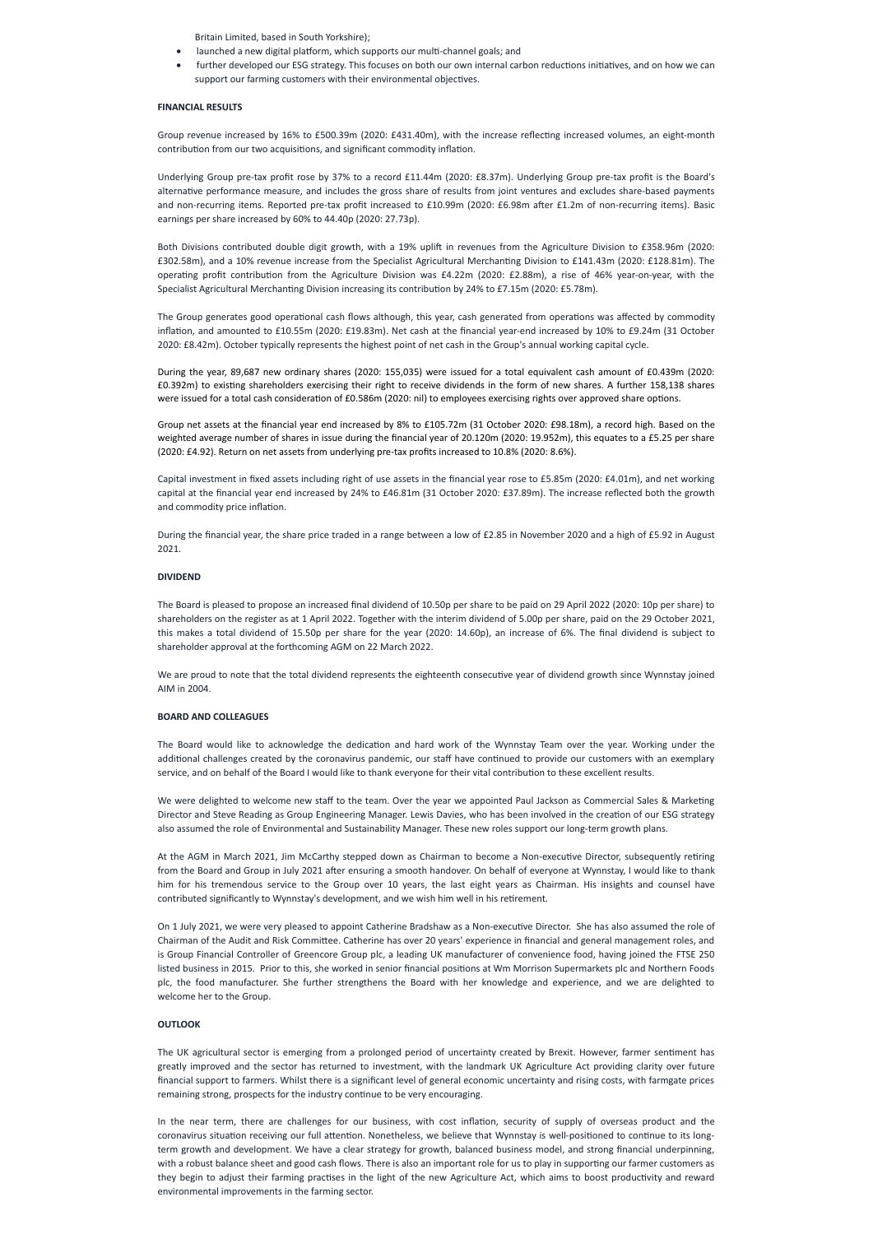Britain Limited, based in South Yorkshire);

- · launched a new digital platform, which supports our multi-channel goals; and
- further developed our ESG strategy. This focuses on both our own internal carbon reductions initiatives, and on how we can support our farming customers with their environmental objectives.

#### **FINANCIAL RESULTS**

Group revenue increased by 16% to £500.39m (2020: £431.40m), with the increase reflecting increased volumes, an eight-month contribution from our two acquisitions, and significant commodity inflation.

Underlying Group pre-tax profit rose by 37% to a record £11.44m (2020: £8.37m). Underlying Group pre-tax profit is the Board's alternative performance measure, and includes the gross share of results from joint ventures and excludes share-based payments and non-recurring items. Reported pre-tax profit increased to £10.99m (2020: £6.98m after £1.2m of non-recurring items). Basic earnings per share increased by 60% to 44.40p (2020: 27.73p).

Both Divisions contributed double digit growth, with a 19% uplift in revenues from the Agriculture Division to £358.96m (2020: £302.58m), and a 10% revenue increase from the Specialist Agricultural Merchanting Division to £141.43m (2020: £128.81m). The operating profit contribution from the Agriculture Division was £4.22m (2020: £2.88m), a rise of 46% year-on-year, with the Specialist Agricultural Merchanting Division increasing its contribution by 24% to £7.15m (2020: £5.78m).

The Group generates good operational cash flows although, this year, cash generated from operations was affected by commodity inflation, and amounted to £10.55m (2020: £19.83m). Net cash at the financial year-end increased by 10% to £9.24m (31 October 2020: £8.42m). October typically represents the highest point of net cash in the Group's annual working capital cycle.

During the year, 89,687 new ordinary shares (2020: 155,035) were issued for a total equivalent cash amount of £0.439m (2020: £0.392m) to existing shareholders exercising their right to receive dividends in the form of new shares. A further 158,138 shares were issued for a total cash consideration of £0.586m (2020: nil) to employees exercising rights over approved share options.

Group net assets at the financial year end increased by 8% to £105.72m (31 October 2020: £98.18m), a record high. Based on the weighted average number of shares in issue during the financial year of 20.120m (2020: 19.952m), this equates to a £5.25 per share (2020: £4.92). Return on net assets from underlying pre-tax profits increased to 10.8% (2020: 8.6%).

Capital investment in fixed assets including right of use assets in the financial year rose to £5.85m (2020: £4.01m), and net working capital at the financial year end increased by 24% to £46.81m (31 October 2020: £37.89m). The increase reflected both the growth and commodity price inflation.

During the financial year, the share price traded in a range between a low of £2.85 in November 2020 and a high of £5.92 in August 2021.

#### **DIVIDEND**

The Board is pleased to propose an increased final dividend of 10.50p per share to be paid on 29 April 2022 (2020: 10p per share) to shareholders on the register as at 1 April 2022. Together with the interim dividend of 5.00p per share, paid on the 29 October 2021, this makes a total dividend of 15.50p per share for the year (2020: 14.60p), an increase of 6%. The final dividend is subject to shareholder approval at the forthcoming AGM on 22 March 2022.

We are proud to note that the total dividend represents the eighteenth consecutive year of dividend growth since Wynnstay joined AIM in 2004.

## **BOARD AND COLLEAGUES**

The Board would like to acknowledge the dedication and hard work of the Wynnstay Team over the year. Working under the additional challenges created by the coronavirus pandemic, our staff have continued to provide our customers with an exemplary service, and on behalf of the Board I would like to thank everyone for their vital contribution to these excellent results.

We were delighted to welcome new staff to the team. Over the year we appointed Paul Jackson as Commercial Sales & Marketing Director and Steve Reading as Group Engineering Manager. Lewis Davies, who has been involved in the creation of our ESG strategy also assumed the role of Environmental and Sustainability Manager. These new roles support our long-term growth plans.

At the AGM in March 2021, Jim McCarthy stepped down as Chairman to become a Non-executive Director, subsequently retiring from the Board and Group in July 2021 after ensuring a smooth handover. On behalf of everyone at Wynnstay, I would like to thank him for his tremendous service to the Group over 10 years, the last eight years as Chairman. His insights and counsel have contributed significantly to Wynnstay's development, and we wish him well in his retirement.

On 1 July 2021, we were very pleased to appoint Catherine Bradshaw as a Non-executive Director. She has also assumed the role of

Chairman of the Audit and Risk Committee. Catherine has over 20 years' experience in financial and general management roles, and is Group Financial Controller of Greencore Group plc, a leading UK manufacturer of convenience food, having joined the FTSE 250 listed business in 2015. Prior to this, she worked in senior financial positions at Wm Morrison Supermarkets plc and Northern Foods plc, the food manufacturer. She further strengthens the Board with her knowledge and experience, and we are delighted to welcome her to the Group.

#### **OUTLOOK**

The UK agricultural sector is emerging from a prolonged period of uncertainty created by Brexit. However, farmer sentiment has greatly improved and the sector has returned to investment, with the landmark UK Agriculture Act providing clarity over future financial support to farmers. Whilst there is a significant level of general economic uncertainty and rising costs, with farmgate prices remaining strong, prospects for the industry continue to be very encouraging.

In the near term, there are challenges for our business, with cost inflation, security of supply of overseas product and the coronavirus situation receiving our full attention. Nonetheless, we believe that Wynnstay is well-positioned to continue to its longterm growth and development. We have a clear strategy for growth, balanced business model, and strong financial underpinning, with a robust balance sheet and good cash flows. There is also an important role for us to play in supporting our farmer customers as they begin to adjust their farming practises in the light of the new Agriculture Act, which aims to boost productivity and reward environmental improvements in the farming sector.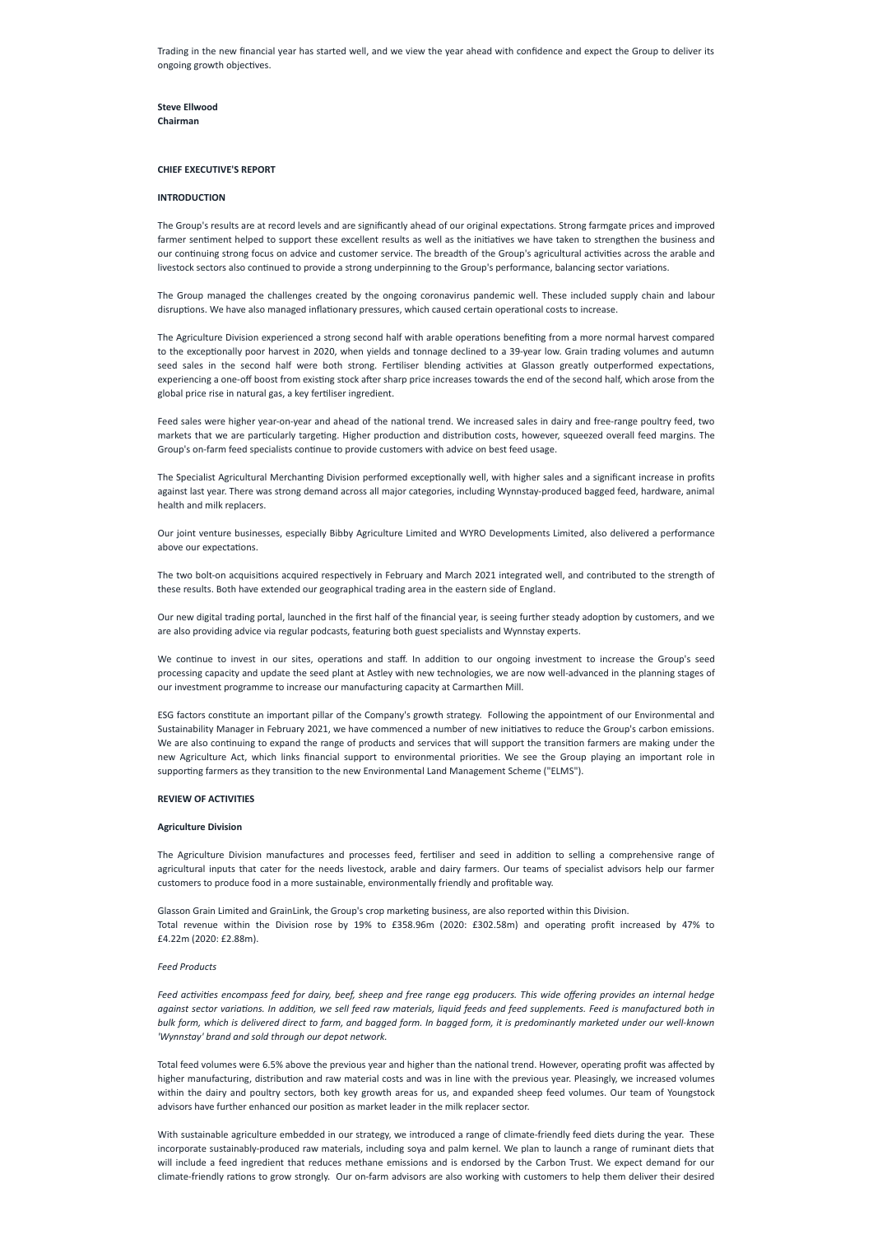Trading in the new financial year has started well, and we view the year ahead with confidence and expect the Group to deliver its ongoing growth objectives.

**Steve Ellwood Chairman**

#### **CHIEF EXECUTIVE'S REPORT**

#### **INTRODUCTION**

The Group's results are at record levels and are significantly ahead of our original expectations. Strong farmgate prices and improved farmer sentiment helped to support these excellent results as well as the initiatives we have taken to strengthen the business and our continuing strong focus on advice and customer service. The breadth of the Group's agricultural activities across the arable and livestock sectors also continued to provide a strong underpinning to the Group's performance, balancing sector variations.

The Group managed the challenges created by the ongoing coronavirus pandemic well. These included supply chain and labour disruptions. We have also managed inflationary pressures, which caused certain operational costs to increase.

The Agriculture Division experienced a strong second half with arable operations benefiting from a more normal harvest compared to the exceptionally poor harvest in 2020, when yields and tonnage declined to a 39-year low. Grain trading volumes and autumn seed sales in the second half were both strong. Fertiliser blending activities at Glasson greatly outperformed expectations, experiencing a one-off boost from existing stock after sharp price increases towards the end of the second half, which arose from the global price rise in natural gas, a key fertiliser ingredient.

Feed sales were higher year-on-year and ahead of the national trend. We increased sales in dairy and free-range poultry feed, two markets that we are particularly targeting. Higher production and distribution costs, however, squeezed overall feed margins. The Group's on-farm feed specialists continue to provide customers with advice on best feed usage.

The Specialist Agricultural Merchanting Division performed exceptionally well, with higher sales and a significant increase in profits against last year. There was strong demand across all major categories, including Wynnstay-produced bagged feed, hardware, animal health and milk replacers.

Our joint venture businesses, especially Bibby Agriculture Limited and WYRO Developments Limited, also delivered a performance above our expectations.

Feed activities encompass feed for dairy, beef, sheep and free range egg producers. This wide offering provides an internal hedge against sector variations. In addition, we sell feed raw materials, liquid feeds and feed supplements. Feed is manufactured both in bulk form, which is delivered direct to farm, and bagged form. In bagged form, it is predominantly marketed under our well-known *'Wynnstay' brand and sold through our depot network.*

The two bolt-on acquisitions acquired respectively in February and March 2021 integrated well, and contributed to the strength of these results. Both have extended our geographical trading area in the eastern side of England.

Our new digital trading portal, launched in the first half of the financial year, is seeing further steady adoption by customers, and we are also providing advice via regular podcasts, featuring both guest specialists and Wynnstay experts.

With sustainable agriculture embedded in our strategy, we introduced a range of climate-friendly feed diets during the year. These incorporate sustainably-produced raw materials, including soya and palm kernel. We plan to launch a range of ruminant diets that will include a feed ingredient that reduces methane emissions and is endorsed by the Carbon Trust. We expect demand for our climate-friendly rations to grow strongly. Our on-farm advisors are also working with customers to help them deliver their desired

We continue to invest in our sites, operations and staff. In addition to our ongoing investment to increase the Group's seed processing capacity and update the seed plant at Astley with new technologies, we are now well-advanced in the planning stages of our investment programme to increase our manufacturing capacity at Carmarthen Mill.

ESG factors constitute an important pillar of the Company's growth strategy. Following the appointment of our Environmental and Sustainability Manager in February 2021, we have commenced a number of new initiatives to reduce the Group's carbon emissions. We are also continuing to expand the range of products and services that will support the transition farmers are making under the new Agriculture Act, which links financial support to environmental priorities. We see the Group playing an important role in supporting farmers as they transition to the new Environmental Land Management Scheme ("ELMS").

# **REVIEW OF ACTIVITIES**

#### **Agriculture Division**

The Agriculture Division manufactures and processes feed, fertiliser and seed in addition to selling a comprehensive range of agricultural inputs that cater for the needs livestock, arable and dairy farmers. Our teams of specialist advisors help our farmer customers to produce food in a more sustainable, environmentally friendly and profitable way.

Glasson Grain Limited and GrainLink, the Group's crop marketing business, are also reported within this Division. Total revenue within the Division rose by 19% to £358.96m (2020: £302.58m) and operating profit increased by 47% to

£4.22m (2020: £2.88m).

#### *Feed Products*

Total feed volumes were 6.5% above the previous year and higher than the national trend. However, operating profit was affected by higher manufacturing, distribution and raw material costs and was in line with the previous year. Pleasingly, we increased volumes within the dairy and poultry sectors, both key growth areas for us, and expanded sheep feed volumes. Our team of Youngstock advisors have further enhanced our position as market leader in the milk replacer sector.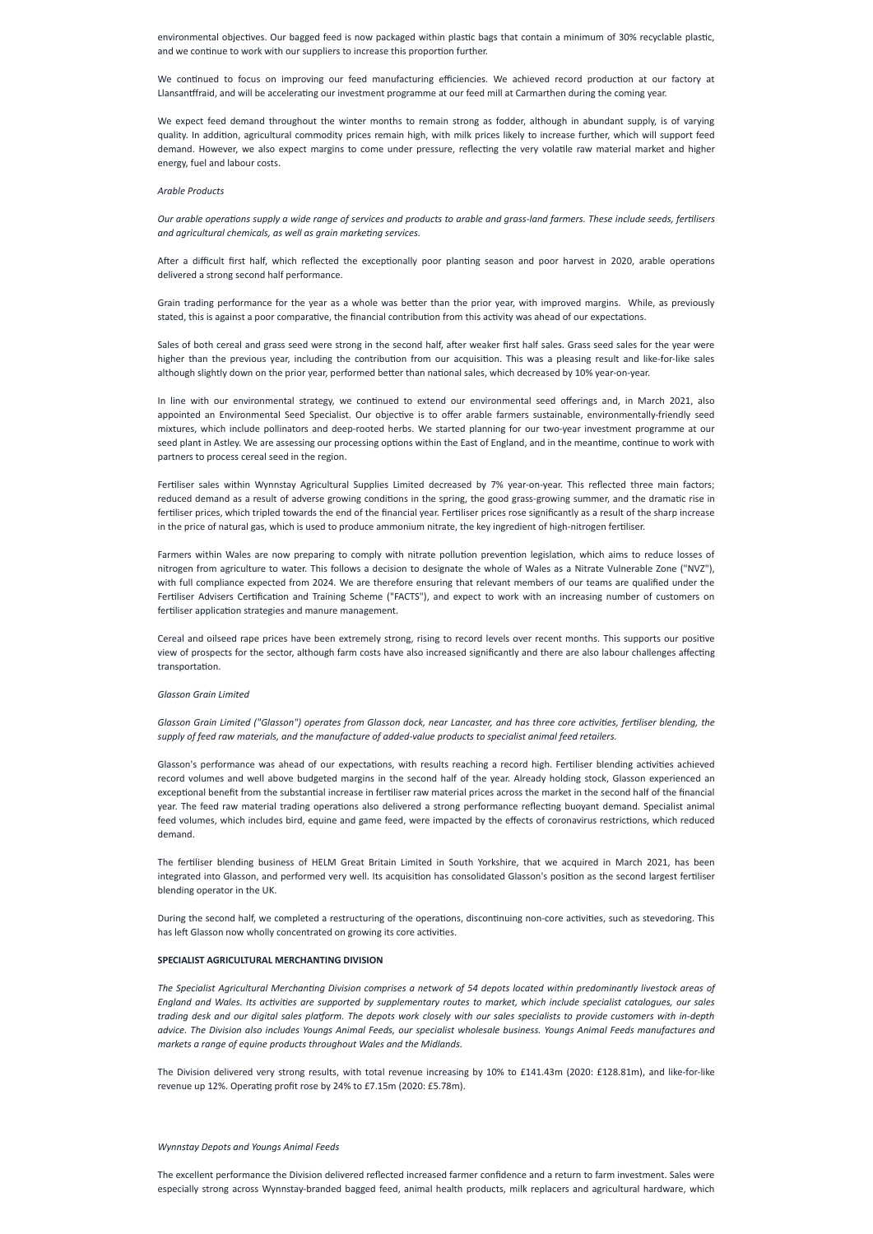environmental objectives. Our bagged feed is now packaged within plastic bags that contain a minimum of 30% recyclable plastic, and we continue to work with our suppliers to increase this proportion further.

We continued to focus on improving our feed manufacturing efficiencies. We achieved record production at our factory at Llansantffraid, and will be accelerating our investment programme at our feed mill at Carmarthen during the coming year.

Our arable operations supply a wide range of services and products to arable and grass-land farmers. These include seeds, fertilisers *and agricultural chemicals, as well as grain marketing services.*

We expect feed demand throughout the winter months to remain strong as fodder, although in abundant supply, is of varying quality. In addition, agricultural commodity prices remain high, with milk prices likely to increase further, which will support feed demand. However, we also expect margins to come under pressure, reflecting the very volatile raw material market and higher energy, fuel and labour costs.

#### *Arable Products*

After a difficult first half, which reflected the exceptionally poor planting season and poor harvest in 2020, arable operations delivered a strong second half performance.

Grain trading performance for the year as a whole was better than the prior year, with improved margins. While, as previously stated, this is against a poor comparative, the financial contribution from this activity was ahead of our expectations.

Sales of both cereal and grass seed were strong in the second half, after weaker first half sales. Grass seed sales for the year were higher than the previous year, including the contribution from our acquisition. This was a pleasing result and like-for-like sales although slightly down on the prior year, performed better than national sales, which decreased by 10% year-on-year.

Glasson Grain Limited ("Glasson") operates from Glasson dock, near Lancaster, and has three core activities, fertiliser blending, the *supply of feed raw materials, and the manufacture of added-value products to specialist animal feed retailers.*

In line with our environmental strategy, we continued to extend our environmental seed offerings and, in March 2021, also appointed an Environmental Seed Specialist. Our objective is to offer arable farmers sustainable, environmentally-friendly seed mixtures, which include pollinators and deep-rooted herbs. We started planning for our two-year investment programme at our seed plant in Astley. We are assessing our processing options within the East of England, and in the meantime, continue to work with partners to process cereal seed in the region.

Fertiliser sales within Wynnstay Agricultural Supplies Limited decreased by 7% year-on-year. This reflected three main factors; reduced demand as a result of adverse growing conditions in the spring, the good grass-growing summer, and the dramatic rise in fertiliser prices, which tripled towards the end of the financial year. Fertiliser prices rose significantly as a result of the sharp increase in the price of natural gas, which is used to produce ammonium nitrate, the key ingredient of high-nitrogen fertiliser.

The Specialist Agricultural Merchanting Division comprises a network of 54 depots located within predominantly livestock areas of England and Wales. Its activities are supported by supplementary routes to market, which include specialist catalogues, our sales trading desk and our digital sales platform. The depots work closely with our sales specialists to provide customers with in-depth advice. The Division also includes Youngs Animal Feeds, our specialist wholesale business. Youngs Animal Feeds manufactures and *markets a range of equine products throughout Wales and the Midlands.*

Farmers within Wales are now preparing to comply with nitrate pollution prevention legislation, which aims to reduce losses of nitrogen from agriculture to water. This follows a decision to designate the whole of Wales as a Nitrate Vulnerable Zone ("NVZ"), with full compliance expected from 2024. We are therefore ensuring that relevant members of our teams are qualified under the Fertiliser Advisers Certification and Training Scheme ("FACTS"), and expect to work with an increasing number of customers on fertiliser application strategies and manure management.

Cereal and oilseed rape prices have been extremely strong, rising to record levels over recent months. This supports our positive view of prospects for the sector, although farm costs have also increased significantly and there are also labour challenges affecting transportation.

## *Glasson Grain Limited*

Glasson's performance was ahead of our expectations, with results reaching a record high. Fertiliser blending activities achieved record volumes and well above budgeted margins in the second half of the year. Already holding stock, Glasson experienced an exceptional benefit from the substantial increase in fertiliser raw material prices across the market in the second half of the financial year. The feed raw material trading operations also delivered a strong performance reflecting buoyant demand. Specialist animal feed volumes, which includes bird, equine and game feed, were impacted by the effects of coronavirus restrictions, which reduced demand.

The fertiliser blending business of HELM Great Britain Limited in South Yorkshire, that we acquired in March 2021, has been integrated into Glasson, and performed very well. Its acquisition has consolidated Glasson's position as the second largest fertiliser blending operator in the UK.

During the second half, we completed a restructuring of the operations, discontinuing non-core activities, such as stevedoring. This

has left Glasson now wholly concentrated on growing its core activities.

#### **SPECIALIST AGRICULTURAL MERCHANTING DIVISION**

The Division delivered very strong results, with total revenue increasing by 10% to £141.43m (2020: £128.81m), and like-for-like revenue up 12%. Operating profit rose by 24% to £7.15m (2020: £5.78m).

*Wynnstay Depots and Youngs Animal Feeds*

The excellent performance the Division delivered reflected increased farmer confidence and a return to farm investment. Sales were especially strong across Wynnstay-branded bagged feed, animal health products, milk replacers and agricultural hardware, which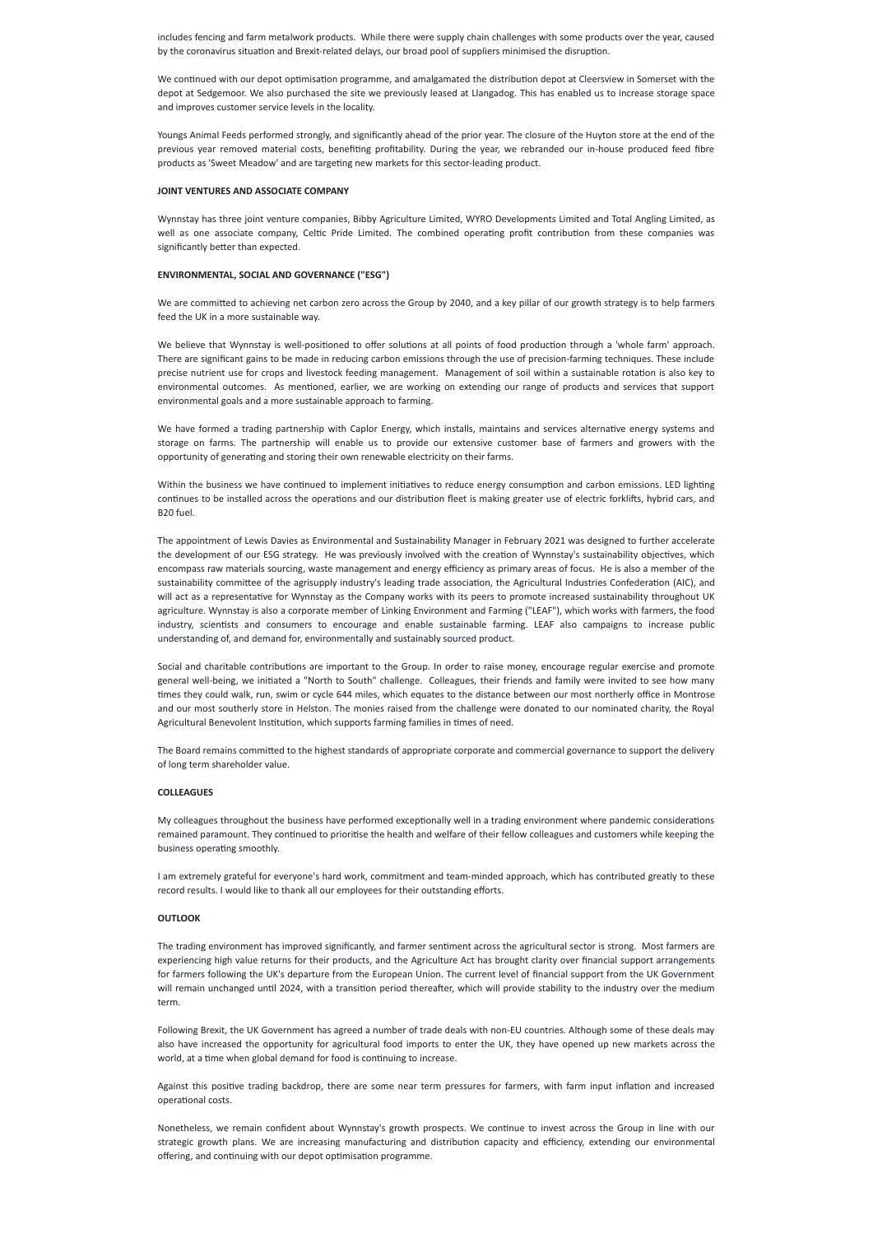includes fencing and farm metalwork products. While there were supply chain challenges with some products over the year, caused by the coronavirus situation and Brexit-related delays, our broad pool of suppliers minimised the disruption.

We continued with our depot optimisation programme, and amalgamated the distribution depot at Cleersview in Somerset with the depot at Sedgemoor. We also purchased the site we previously leased at Llangadog. This has enabled us to increase storage space and improves customer service levels in the locality.

Youngs Animal Feeds performed strongly, and significantly ahead of the prior year. The closure of the Huyton store at the end of the previous year removed material costs, benefiting profitability. During the year, we rebranded our in-house produced feed fibre products as 'Sweet Meadow' and are targeting new markets for this sector-leading product.

#### **JOINT VENTURES AND ASSOCIATE COMPANY**

Wynnstay has three joint venture companies, Bibby Agriculture Limited, WYRO Developments Limited and Total Angling Limited, as well as one associate company, Celtic Pride Limited. The combined operating profit contribution from these companies was significantly better than expected.

#### **ENVIRONMENTAL, SOCIAL AND GOVERNANCE ("ESG")**

We are committed to achieving net carbon zero across the Group by 2040, and a key pillar of our growth strategy is to help farmers feed the UK in a more sustainable way.

We believe that Wynnstay is well-positioned to offer solutions at all points of food production through a 'whole farm' approach. There are significant gains to be made in reducing carbon emissions through the use of precision-farming techniques. These include precise nutrient use for crops and livestock feeding management. Management of soil within a sustainable rotation is also key to environmental outcomes. As mentioned, earlier, we are working on extending our range of products and services that support environmental goals and a more sustainable approach to farming.

We have formed a trading partnership with Caplor Energy, which installs, maintains and services alternative energy systems and storage on farms. The partnership will enable us to provide our extensive customer base of farmers and growers with the opportunity of generating and storing their own renewable electricity on their farms.

Within the business we have continued to implement initiatives to reduce energy consumption and carbon emissions. LED lighting continues to be installed across the operations and our distribution fleet is making greater use of electric forklifts, hybrid cars, and B20 fuel.

The appointment of Lewis Davies as Environmental and Sustainability Manager in February 2021 was designed to further accelerate the development of our ESG strategy. He was previously involved with the creation of Wynnstay's sustainability objectives, which encompass raw materials sourcing, waste management and energy efficiency as primary areas of focus. He is also a member of the sustainability committee of the agrisupply industry's leading trade association, the Agricultural Industries Confederation (AIC), and will act as a representative for Wynnstay as the Company works with its peers to promote increased sustainability throughout UK agriculture. Wynnstay is also a corporate member of Linking Environment and Farming ("LEAF"), which works with farmers, the food industry, scientists and consumers to encourage and enable sustainable farming. LEAF also campaigns to increase public understanding of, and demand for, environmentally and sustainably sourced product.

Social and charitable contributions are important to the Group. In order to raise money, encourage regular exercise and promote general well-being, we initiated a "North to South" challenge. Colleagues, their friends and family were invited to see how many times they could walk, run, swim or cycle 644 miles, which equates to the distance between our most northerly office in Montrose and our most southerly store in Helston. The monies raised from the challenge were donated to our nominated charity, the Royal Agricultural Benevolent Institution, which supports farming families in times of need.

The Board remains committed to the highest standards of appropriate corporate and commercial governance to support the delivery of long term shareholder value.

#### **COLLEAGUES**

My colleagues throughout the business have performed exceptionally well in a trading environment where pandemic considerations remained paramount. They continued to prioritise the health and welfare of their fellow colleagues and customers while keeping the business operating smoothly.

I am extremely grateful for everyone's hard work, commitment and team-minded approach, which has contributed greatly to these record results. I would like to thank all our employees for their outstanding efforts.

#### **OUTLOOK**

The trading environment has improved significantly, and farmer sentiment across the agricultural sector is strong. Most farmers are experiencing high value returns for their products, and the Agriculture Act has brought clarity over financial support arrangements for farmers following the UK's departure from the European Union. The current level of financial support from the UK Government will remain unchanged until 2024, with a transition period thereafter, which will provide stability to the industry over the medium term.

Following Brexit, the UK Government has agreed a number of trade deals with non-EU countries. Although some of these deals may also have increased the opportunity for agricultural food imports to enter the UK, they have opened up new markets across the world, at a time when global demand for food is continuing to increase.

Against this positive trading backdrop, there are some near term pressures for farmers, with farm input inflation and increased operational costs.

Nonetheless, we remain confident about Wynnstay's growth prospects. We continue to invest across the Group in line with our strategic growth plans. We are increasing manufacturing and distribution capacity and efficiency, extending our environmental offering, and continuing with our depot optimisation programme.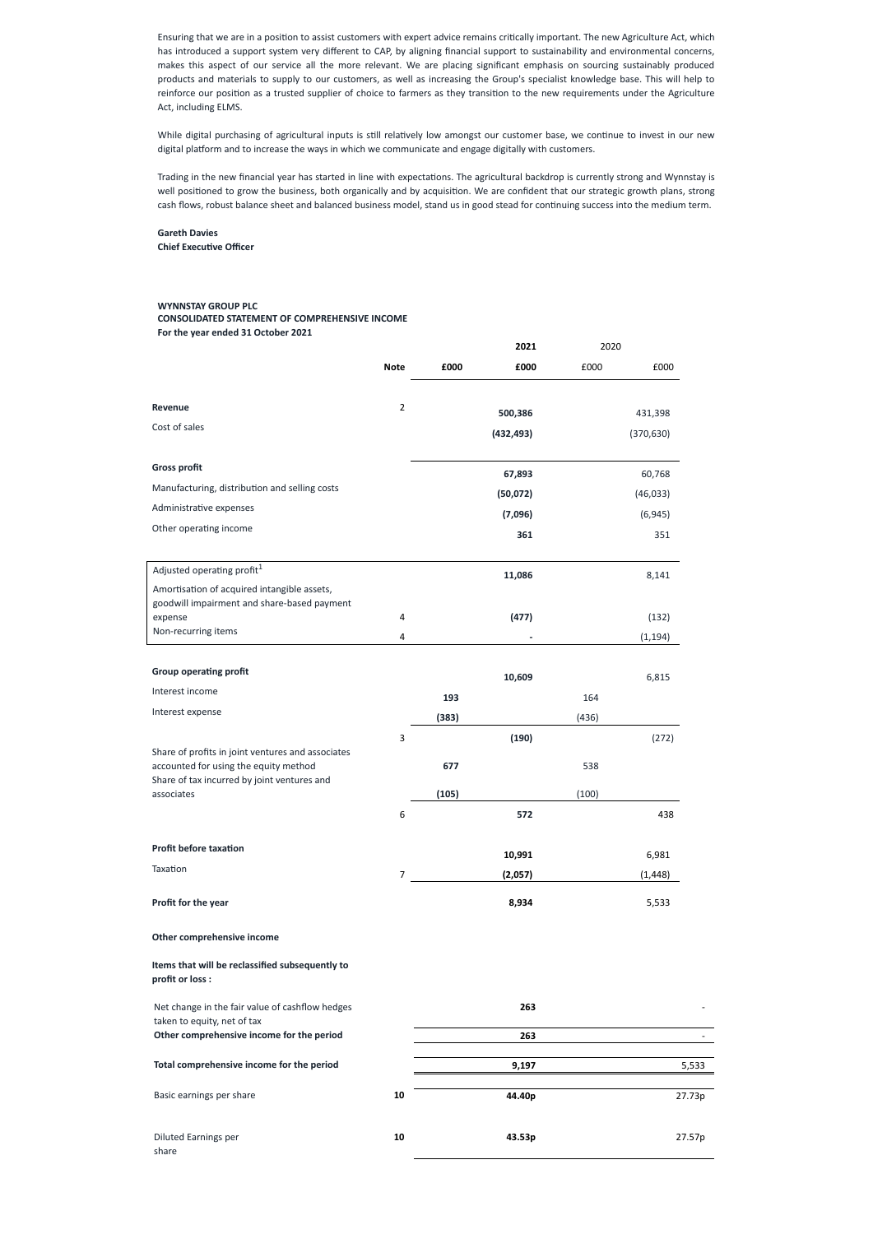Ensuring that we are in a position to assist customers with expert advice remains critically important. The new Agriculture Act, which has introduced a support system very different to CAP, by aligning financial support to sustainability and environmental concerns, makes this aspect of our service all the more relevant. We are placing significant emphasis on sourcing sustainably produced products and materials to supply to our customers, as well as increasing the Group's specialist knowledge base. This will help to reinforce our position as a trusted supplier of choice to farmers as they transition to the new requirements under the Agriculture Act, including ELMS.

While digital purchasing of agricultural inputs is still relatively low amongst our customer base, we continue to invest in our new digital platform and to increase the ways in which we communicate and engage digitally with customers.

Trading in the new financial year has started in line with expectations. The agricultural backdrop is currently strong and Wynnstay is well positioned to grow the business, both organically and by acquisition. We are confident that our strategic growth plans, strong cash flows, robust balance sheet and balanced business model, stand us in good stead for continuing success into the medium term.

**Gareth Davies Chief Executive Officer**

# **WYNNSTAY GROUP PLC CONSOLIDATED STATEMENT OF COMPREHENSIVE INCOME For the year ended 31 October 2021**

|                                                                                                                                           |                |       | 2021       | 2020  |            |
|-------------------------------------------------------------------------------------------------------------------------------------------|----------------|-------|------------|-------|------------|
|                                                                                                                                           | <b>Note</b>    | £000  | £000       | £000  | £000       |
| Revenue                                                                                                                                   | $\overline{2}$ |       |            |       |            |
| Cost of sales                                                                                                                             |                |       | 500,386    |       | 431,398    |
|                                                                                                                                           |                |       | (432, 493) |       | (370, 630) |
| <b>Gross profit</b>                                                                                                                       |                |       | 67,893     |       | 60,768     |
| Manufacturing, distribution and selling costs                                                                                             |                |       | (50,072)   |       | (46, 033)  |
| Administrative expenses                                                                                                                   |                |       | (7,096)    |       | (6, 945)   |
| Other operating income                                                                                                                    |                |       | 361        |       | 351        |
|                                                                                                                                           |                |       |            |       |            |
| Adjusted operating profit <sup>1</sup>                                                                                                    |                |       | 11,086     |       | 8,141      |
| Amortisation of acquired intangible assets,<br>goodwill impairment and share-based payment                                                |                |       |            |       |            |
| expense                                                                                                                                   | 4              |       | (477)      |       | (132)      |
| Non-recurring items                                                                                                                       | 4              |       |            |       | (1, 194)   |
| <b>Group operating profit</b>                                                                                                             |                |       |            |       |            |
|                                                                                                                                           |                |       | 10,609     |       | 6,815      |
| Interest income                                                                                                                           |                | 193   |            | 164   |            |
| Interest expense                                                                                                                          |                | (383) |            | (436) |            |
|                                                                                                                                           | 3              |       | (190)      |       | (272)      |
| Share of profits in joint ventures and associates<br>accounted for using the equity method<br>Share of tax incurred by joint ventures and |                | 677   |            | 538   |            |
| associates                                                                                                                                |                | (105) |            | (100) |            |
|                                                                                                                                           | 6              |       | 572        |       | 438        |
| <b>Profit before taxation</b>                                                                                                             |                |       | 10,991     |       | 6,981      |
| Taxation                                                                                                                                  | $\overline{7}$ |       | (2,057)    |       | (1, 448)   |
| Profit for the year                                                                                                                       |                |       | 8,934      |       | 5,533      |

## **Other comprehensive income**

**Items that will be reclassified subsequently to profit or loss :**

| Net change in the fair value of cashflow hedges                          |    | 263    |        |
|--------------------------------------------------------------------------|----|--------|--------|
| taken to equity, net of tax<br>Other comprehensive income for the period |    | 263    |        |
| Total comprehensive income for the period                                |    | 9,197  | 5,533  |
| Basic earnings per share                                                 | 10 | 44.40p | 27.73p |
| Diluted Earnings per<br>share                                            | 10 | 43.53p | 27.57p |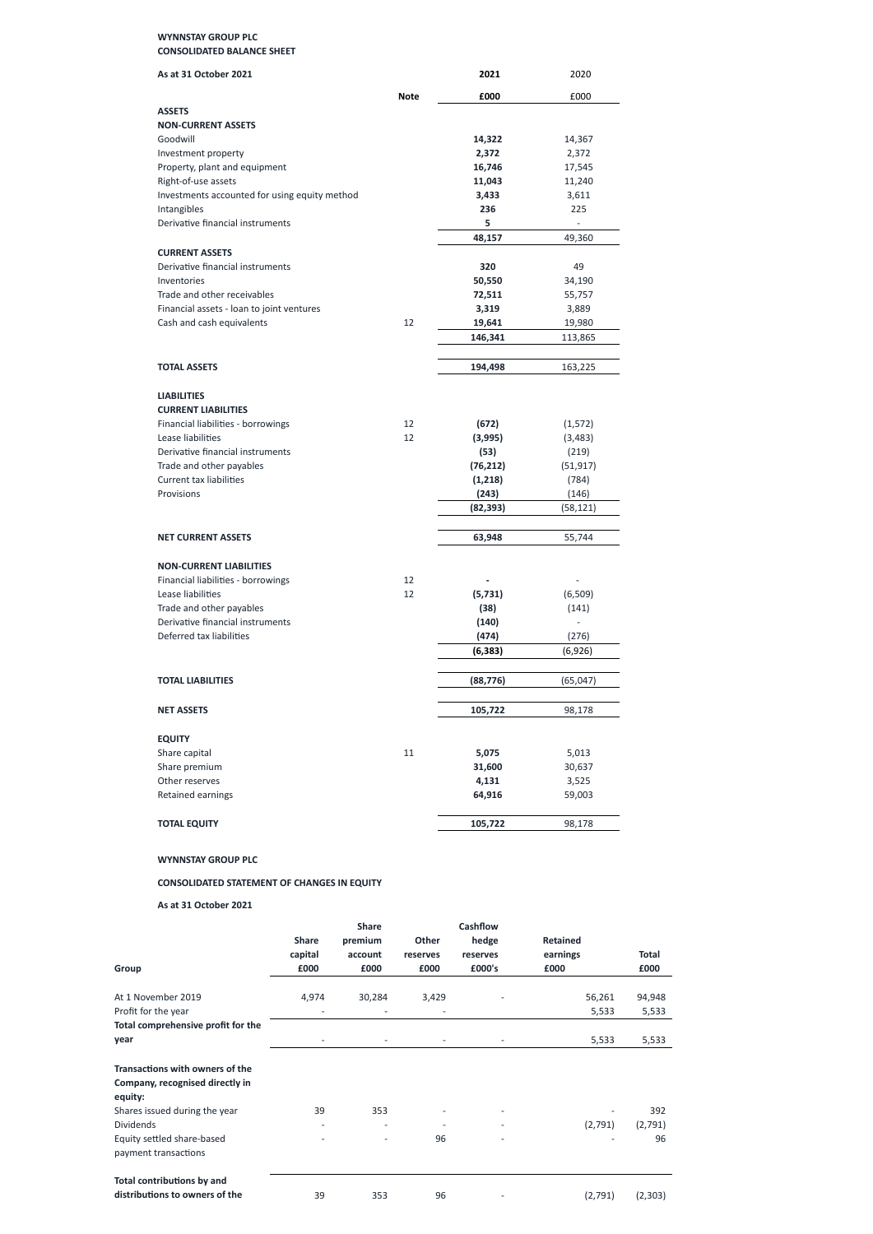# **WYNNSTAY GROUP PLC CONSOLIDATED BALANCE SHEET**

| As at 31 October 2021                                      |             | 2021      | 2020           |
|------------------------------------------------------------|-------------|-----------|----------------|
|                                                            | <b>Note</b> | £000      | £000           |
| <b>ASSETS</b>                                              |             |           |                |
| <b>NON-CURRENT ASSETS</b>                                  |             |           |                |
| Goodwill                                                   |             | 14,322    | 14,367         |
| Investment property                                        |             | 2,372     | 2,372          |
| Property, plant and equipment                              |             | 16,746    | 17,545         |
| Right-of-use assets                                        |             | 11,043    | 11,240         |
| Investments accounted for using equity method              |             | 3,433     | 3,611          |
| Intangibles                                                |             | 236       | 225            |
| Derivative financial instruments                           |             | 5         |                |
|                                                            |             | 48,157    | 49,360         |
| <b>CURRENT ASSETS</b>                                      |             |           |                |
| Derivative financial instruments                           |             | 320       | 49             |
| Inventories                                                |             | 50,550    | 34,190         |
| Trade and other receivables                                |             | 72,511    | 55,757         |
| Financial assets - loan to joint ventures                  |             | 3,319     | 3,889          |
| Cash and cash equivalents                                  | 12          | 19,641    | 19,980         |
|                                                            |             | 146,341   | 113,865        |
| <b>TOTAL ASSETS</b>                                        |             | 194,498   | 163,225        |
|                                                            |             |           |                |
| <b>LIABILITIES</b>                                         |             |           |                |
| <b>CURRENT LIABILITIES</b>                                 |             |           |                |
| Financial liabilities - borrowings                         | 12          | (672)     | (1, 572)       |
| Lease liabilities<br>Derivative financial instruments      | 12          | (3,995)   | (3, 483)       |
|                                                            |             | (53)      | (219)          |
| Trade and other payables<br><b>Current tax liabilities</b> |             | (76, 212) | (51, 917)      |
| Provisions                                                 |             | (1,218)   | (784)<br>(146) |
|                                                            |             | (243)     |                |
|                                                            |             | (82, 393) | (58, 121)      |
| <b>NET CURRENT ASSETS</b>                                  |             | 63,948    | 55,744         |
| <b>NON-CURRENT LIABILITIES</b>                             |             |           |                |
| Financial liabilities - borrowings                         | 12          |           |                |
| Lease liabilities                                          | 12          | (5, 731)  | (6, 509)       |
| Trade and other payables                                   |             | (38)      | (141)          |
| Derivative financial instruments                           |             | (140)     |                |
| Deferred tax liabilities                                   |             | (474)     | (276)          |
|                                                            |             | (6, 383)  | (6,926)        |
| <b>TOTAL LIABILITIES</b>                                   |             | (88, 776) | (65, 047)      |
|                                                            |             |           |                |
| <b>NET ASSETS</b>                                          |             | 105,722   | 98,178         |
| <b>EQUITY</b>                                              |             |           |                |
| Share capital                                              | 11          | 5,075     | 5,013          |
| Share premium                                              |             | 31,600    | 30,637         |
| Other reserves                                             |             | 4,131     | 3,525          |
| Retained earnings                                          |             | 64,916    | 59,003         |
| <b>TOTAL EQUITY</b>                                        |             | 105,722   | 98,178         |
|                                                            |             |           |                |

**WYNNSTAY GROUP PLC**

**CONSOLIDATED STATEMENT OF CHANGES IN EQUITY**

**As at 31 October 2021**

|                                                                                                                                                                                                 | <b>Share</b><br>capital | premium<br>account                 | Other<br>reserves                                                 | hedge<br>reserves                                         | <b>Retained</b><br>earnings | <b>Total</b>             |
|-------------------------------------------------------------------------------------------------------------------------------------------------------------------------------------------------|-------------------------|------------------------------------|-------------------------------------------------------------------|-----------------------------------------------------------|-----------------------------|--------------------------|
| Group                                                                                                                                                                                           | £000                    | £000                               | £000                                                              | £000's                                                    | £000                        | £000                     |
| At 1 November 2019<br>Profit for the year<br>Total comprehensive profit for the<br>year                                                                                                         | 4,974<br>-              | 30,284<br>$\overline{\phantom{a}}$ | 3,429<br>$\qquad \qquad \blacksquare$<br>$\overline{\phantom{a}}$ | $\overline{\phantom{a}}$                                  | 56,261<br>5,533<br>5,533    | 94,948<br>5,533<br>5,533 |
| <b>Transactions with owners of the</b><br>Company, recognised directly in<br>equity:<br>Shares issued during the year<br><b>Dividends</b><br>Equity settled share-based<br>payment transactions | 39<br>٠                 | 353                                | $\overline{\phantom{a}}$<br>$\overline{\phantom{a}}$<br>96        | $\overline{\phantom{a}}$<br>$\overline{\phantom{a}}$<br>٠ | (2,791)                     | 392<br>(2,791)<br>96     |
| Total contributions by and<br>distributions to owners of the                                                                                                                                    | 39                      | 353                                | 96                                                                |                                                           | (2,791)                     | (2,303)                  |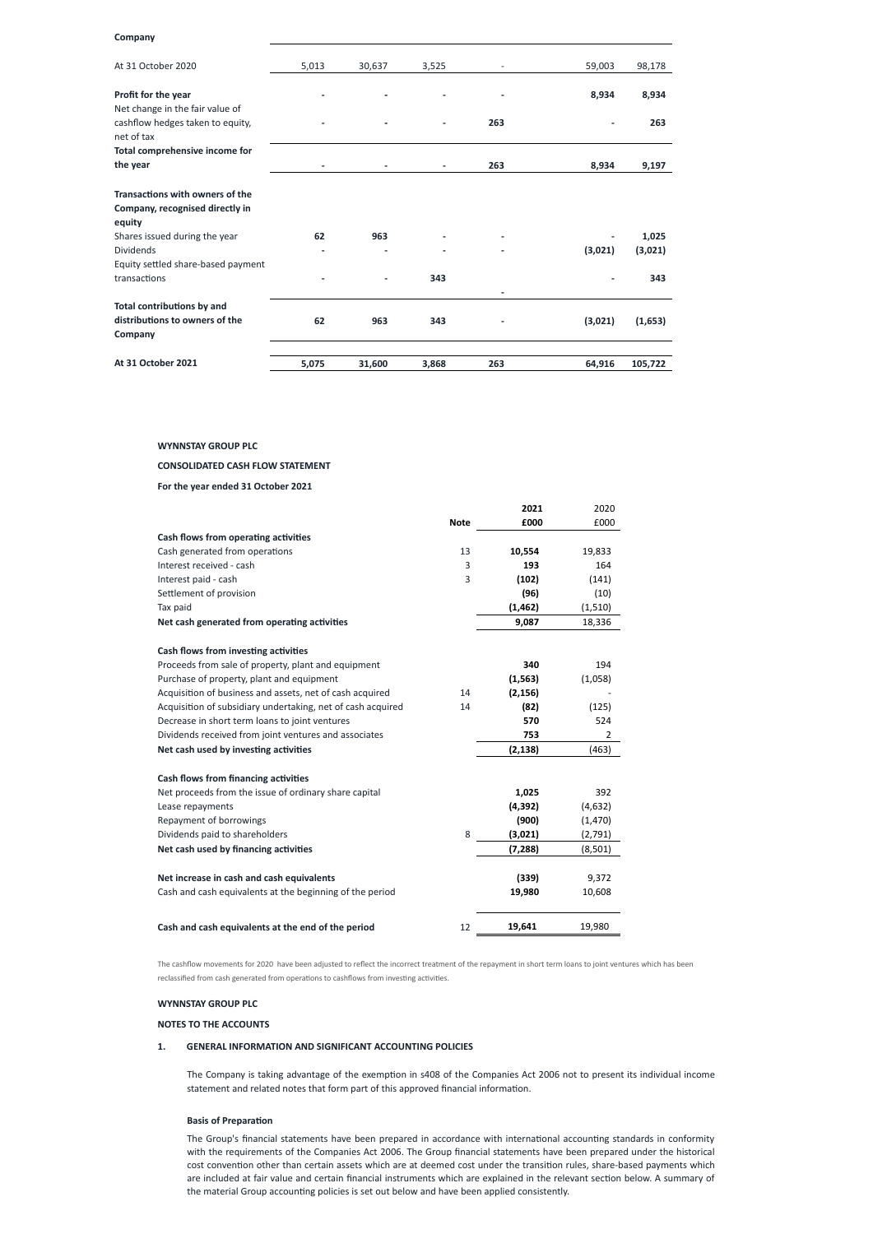## **Company**

| At 31 October 2020                 | 5,013 | 30,637 | 3,525 |     | 59,003  | 98,178  |
|------------------------------------|-------|--------|-------|-----|---------|---------|
| Profit for the year                |       |        |       |     | 8,934   | 8,934   |
| Net change in the fair value of    |       |        |       |     |         |         |
| cashflow hedges taken to equity,   |       |        |       | 263 |         | 263     |
| net of tax                         |       |        |       |     |         |         |
| Total comprehensive income for     |       |        |       |     |         |         |
| the year                           |       |        |       | 263 | 8,934   | 9,197   |
| Transactions with owners of the    |       |        |       |     |         |         |
| Company, recognised directly in    |       |        |       |     |         |         |
| equity                             |       |        |       |     |         |         |
| Shares issued during the year      | 62    | 963    |       |     |         | 1,025   |
| Dividends                          |       |        |       |     | (3,021) | (3,021) |
| Equity settled share-based payment |       |        |       |     |         |         |
| transactions                       |       |        | 343   |     |         | 343     |
| <b>Total contributions by and</b>  |       |        |       |     |         |         |
| distributions to owners of the     | 62    | 963    | 343   |     | (3,021) | (1,653) |
| Company                            |       |        |       |     |         |         |
| At 31 October 2021                 | 5,075 | 31,600 | 3,868 | 263 | 64,916  | 105,722 |

## **WYNNSTAY GROUP PLC**

## **CONSOLIDATED CASH FLOW STATEMENT**

**For the year ended 31 October 2021**

|                                                             |             | 2021     | 2020     |
|-------------------------------------------------------------|-------------|----------|----------|
|                                                             | <b>Note</b> | £000     | £000     |
| Cash flows from operating activities                        |             |          |          |
| Cash generated from operations                              | 13          | 10,554   | 19,833   |
| Interest received - cash                                    | 3           | 193      | 164      |
| Interest paid - cash                                        | 3           | (102)    | (141)    |
| Settlement of provision                                     |             | (96)     | (10)     |
| Tax paid                                                    |             | (1, 462) | (1, 510) |
| Net cash generated from operating activities                |             | 9,087    | 18,336   |
| Cash flows from investing activities                        |             |          |          |
| Proceeds from sale of property, plant and equipment         |             | 340      | 194      |
| Purchase of property, plant and equipment                   |             | (1, 563) | (1,058)  |
| Acquisition of business and assets, net of cash acquired    | 14          | (2, 156) |          |
| Acquisition of subsidiary undertaking, net of cash acquired | 14          | (82)     | (125)    |
| Decrease in short term loans to joint ventures              |             | 570      | 524      |
| Dividends received from joint ventures and associates       |             | 753      | 2        |
| Net cash used by investing activities                       |             | (2, 138) | (463)    |
| <b>Cash flows from financing activities</b>                 |             |          |          |
| Net proceeds from the issue of ordinary share capital       |             | 1,025    | 392      |
| Lease repayments                                            |             | (4, 392) | (4,632)  |
| Repayment of borrowings                                     |             | (900)    | (1,470)  |
| Dividends paid to shareholders                              | 8           | (3,021)  | (2,791)  |
| Net cash used by financing activities                       |             | (7, 288) | (8,501)  |
| Net increase in cash and cash equivalents                   |             | (339)    | 9,372    |
| Cash and cash equivalents at the beginning of the period    |             | 19,980   | 10,608   |
| Cash and cash equivalents at the end of the period          | 12          | 19,641   | 19,980   |



The cashflow movements for 2020 have been adjusted to reflect the incorrect treatment of the repayment in short term loans to joint ventures which has been reclassified from cash generated from operations to cashflows from investing activities.

# **WYNNSTAY GROUP PLC**

## **NOTES TO THE ACCOUNTS**

# **1. GENERAL INFORMATION AND SIGNIFICANT ACCOUNTING POLICIES**

The Company is taking advantage of the exemption in s408 of the Companies Act 2006 not to present its individual income statement and related notes that form part of this approved financial information.

## **Basis of Preparation**

The Group's financial statements have been prepared in accordance with international accounting standards in conformity with the requirements of the Companies Act 2006. The Group financial statements have been prepared under the historical cost convention other than certain assets which are at deemed cost under the transition rules, share-based payments which are included at fair value and certain financial instruments which are explained in the relevant section below. A summary of the material Group accounting policies is set out below and have been applied consistently.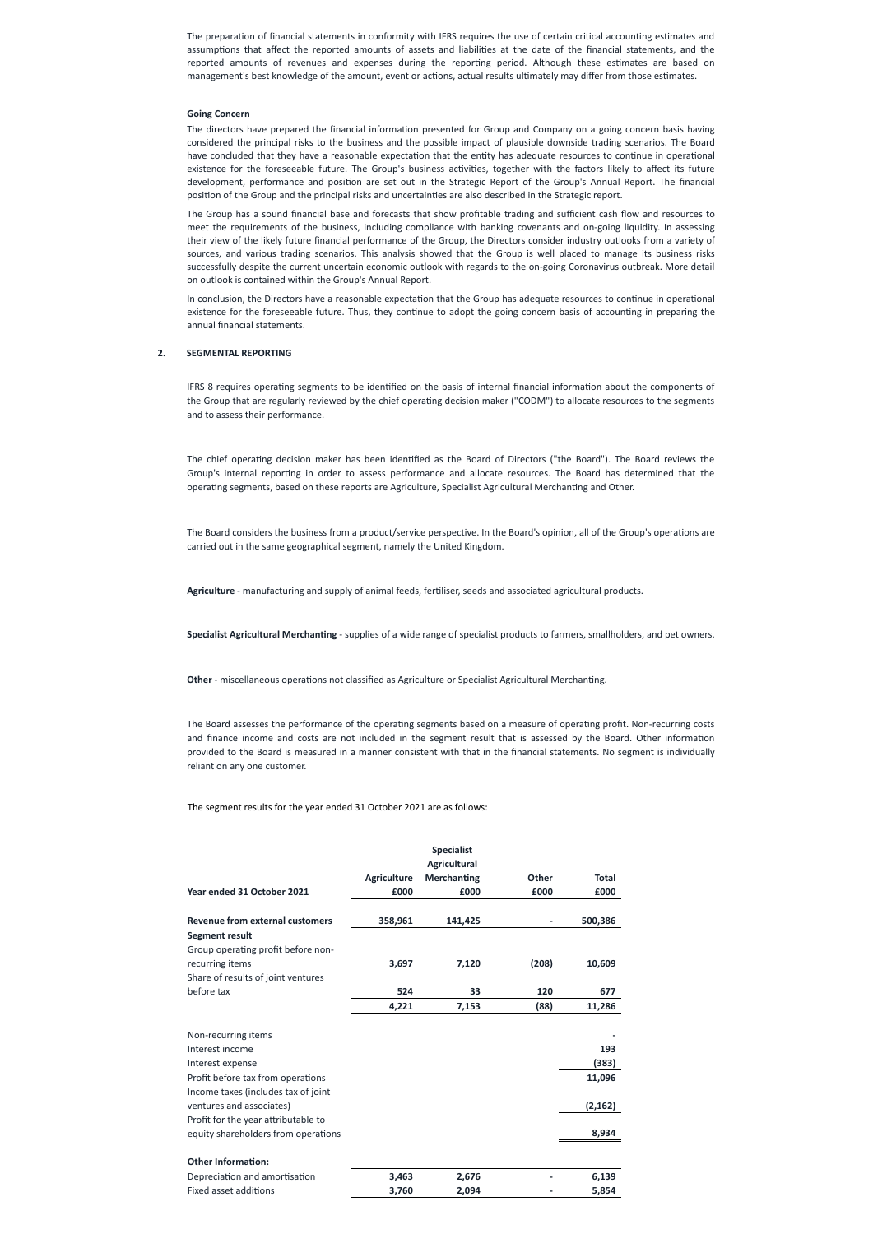The preparation of financial statements in conformity with IFRS requires the use of certain critical accounting estimates and assumptions that affect the reported amounts of assets and liabilities at the date of the financial statements, and the reported amounts of revenues and expenses during the reporting period. Although these estimates are based on management's best knowledge of the amount, event or actions, actual results ultimately may differ from those estimates.

## **Going Concern**

The directors have prepared the financial information presented for Group and Company on a going concern basis having considered the principal risks to the business and the possible impact of plausible downside trading scenarios. The Board have concluded that they have a reasonable expectation that the entity has adequate resources to continue in operational existence for the foreseeable future. The Group's business activities, together with the factors likely to affect its future development, performance and position are set out in the Strategic Report of the Group's Annual Report. The financial position of the Group and the principal risks and uncertainties are also described in the Strategic report.

The Group has a sound financial base and forecasts that show profitable trading and sufficient cash flow and resources to meet the requirements of the business, including compliance with banking covenants and on-going liquidity. In assessing their view of the likely future financial performance of the Group, the Directors consider industry outlooks from a variety of sources, and various trading scenarios. This analysis showed that the Group is well placed to manage its business risks successfully despite the current uncertain economic outlook with regards to the on-going Coronavirus outbreak. More detail on outlook is contained within the Group's Annual Report.

In conclusion, the Directors have a reasonable expectation that the Group has adequate resources to continue in operational existence for the foreseeable future. Thus, they continue to adopt the going concern basis of accounting in preparing the annual financial statements.

# **2. SEGMENTAL REPORTING**

IFRS 8 requires operating segments to be identified on the basis of internal financial information about the components of the Group that are regularly reviewed by the chief operating decision maker ("CODM") to allocate resources to the segments and to assess their performance.

The chief operating decision maker has been identified as the Board of Directors ("the Board"). The Board reviews the Group's internal reporting in order to assess performance and allocate resources. The Board has determined that the operating segments, based on these reports are Agriculture, Specialist Agricultural Merchanting and Other.

The Board considers the business from a product/service perspective. In the Board's opinion, all of the Group's operations are carried out in the same geographical segment, namely the United Kingdom.

**Agriculture** - manufacturing and supply of animal feeds, fertiliser, seeds and associated agricultural products.

**Specialist Agricultural Merchanting** - supplies of a wide range of specialist products to farmers, smallholders, and pet owners.

**Other** - miscellaneous operations not classified as Agriculture or Specialist Agricultural Merchanting.

The Board assesses the performance of the operating segments based on a measure of operating profit. Non-recurring costs and finance income and costs are not included in the segment result that is assessed by the Board. Other information provided to the Board is measured in a manner consistent with that in the financial statements. No segment is individually reliant on any one customer.

The segment results for the year ended 31 October 2021 are as follows:

|                                 |                    | <b>Specialist</b><br>Agricultural |       |         |
|---------------------------------|--------------------|-----------------------------------|-------|---------|
|                                 | <b>Agriculture</b> | <b>Merchanting</b>                | Other | Total   |
| Year ended 31 October 2021      | £000               | £000                              | £000  | £000    |
| Revenue from external customers | 358,961            | 141,425                           | ۰     | 500,386 |

| Segment result                      |       |       |       |          |
|-------------------------------------|-------|-------|-------|----------|
| Group operating profit before non-  |       |       |       |          |
| recurring items                     | 3,697 | 7,120 | (208) | 10,609   |
| Share of results of joint ventures  |       |       |       |          |
| before tax                          | 524   | 33    | 120   | 677      |
|                                     | 4,221 | 7,153 | (88)  | 11,286   |
| Non-recurring items                 |       |       |       |          |
| Interest income                     |       |       |       | 193      |
| Interest expense                    |       |       |       | (383)    |
| Profit before tax from operations   |       |       |       | 11,096   |
| Income taxes (includes tax of joint |       |       |       |          |
| ventures and associates)            |       |       |       | (2, 162) |
| Profit for the year attributable to |       |       |       |          |
| equity shareholders from operations |       |       |       | 8,934    |
|                                     |       |       |       |          |
| <b>Other Information:</b>           |       |       |       |          |
| Depreciation and amortisation       | 3,463 | 2,676 |       | 6,139    |
| Fixed asset additions               | 3,760 | 2,094 |       | 5,854    |
|                                     |       |       |       |          |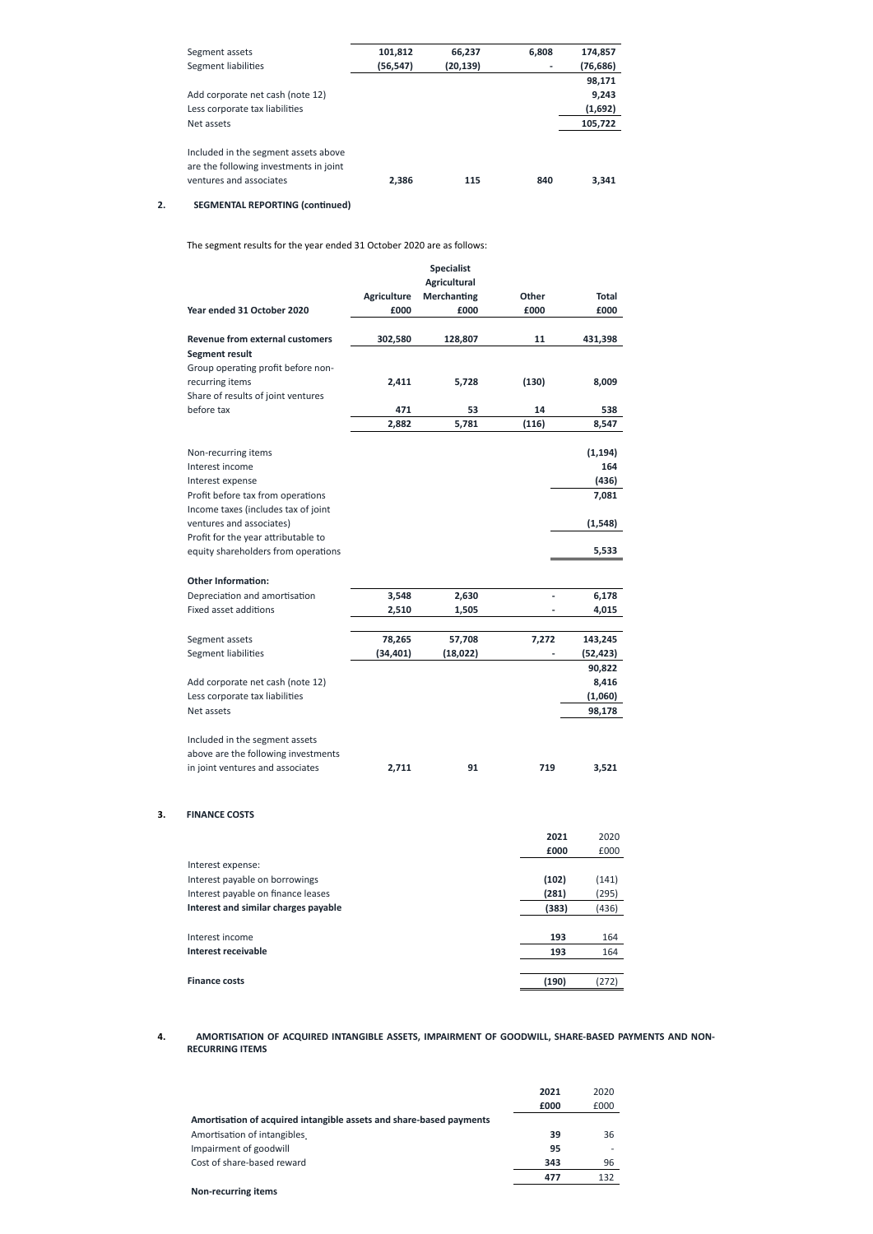| Segment assets                         | 101,812   | 66,237    | 6,808 | 174,857   |
|----------------------------------------|-----------|-----------|-------|-----------|
| Segment liabilities                    | (56, 547) | (20, 139) |       | (76, 686) |
|                                        |           |           |       | 98,171    |
| Add corporate net cash (note 12)       |           |           |       | 9,243     |
| Less corporate tax liabilities         |           |           |       | (1,692)   |
| Net assets                             |           |           |       | 105,722   |
| Included in the segment assets above   |           |           |       |           |
| are the following investments in joint |           |           |       |           |
| ventures and associates                | 2,386     | 115       | 840   | 3,341     |

# **2. SEGMENTAL REPORTING (continued)**

The segment results for the year ended 31 October 2020 are as follows:

|                                                       |                    | <b>Specialist</b>   |       |              |
|-------------------------------------------------------|--------------------|---------------------|-------|--------------|
|                                                       |                    | <b>Agricultural</b> |       |              |
|                                                       | <b>Agriculture</b> | <b>Merchanting</b>  | Other | <b>Total</b> |
| Year ended 31 October 2020                            | £000               | £000                | £000  | £000         |
|                                                       |                    |                     |       |              |
| Revenue from external customers                       | 302,580            | 128,807             | 11    | 431,398      |
| <b>Segment result</b>                                 |                    |                     |       |              |
| Group operating profit before non-<br>recurring items |                    |                     |       |              |
| Share of results of joint ventures                    | 2,411              | 5,728               | (130) | 8,009        |
| before tax                                            | 471                | 53                  | 14    | 538          |
|                                                       | 2,882              | 5,781               | (116) | 8,547        |
|                                                       |                    |                     |       |              |
| Non-recurring items                                   |                    |                     |       | (1, 194)     |
| Interest income                                       |                    |                     |       | 164          |
| Interest expense                                      |                    |                     |       | (436)        |
| Profit before tax from operations                     |                    |                     |       | 7,081        |
| Income taxes (includes tax of joint                   |                    |                     |       |              |
| ventures and associates)                              |                    |                     |       | (1, 548)     |
| Profit for the year attributable to                   |                    |                     |       |              |
| equity shareholders from operations                   |                    |                     |       | 5,533        |
| <b>Other Information:</b>                             |                    |                     |       |              |
| Depreciation and amortisation                         | 3,548              | 2,630               |       | 6,178        |
| Fixed asset additions                                 | 2,510              | 1,505               |       | 4,015        |
|                                                       |                    |                     |       |              |
| Segment assets                                        | 78,265             | 57,708              | 7,272 | 143,245      |
| Segment liabilities                                   | (34, 401)          | (18, 022)           |       | (52, 423)    |
|                                                       |                    |                     |       | 90,822       |
| Add corporate net cash (note 12)                      |                    |                     |       | 8,416        |
| Less corporate tax liabilities                        |                    |                     |       | (1,060)      |
| Net assets                                            |                    |                     |       | 98,178       |
|                                                       |                    |                     |       |              |
| Included in the segment assets                        |                    |                     |       |              |
| above are the following investments                   |                    |                     |       |              |
| in joint ventures and associates                      | 2,711              | 91                  | 719   | 3,521        |
|                                                       |                    |                     |       |              |
|                                                       |                    |                     |       |              |
| <b>FINANCE COSTS</b>                                  |                    |                     |       |              |

**3. FINANCE COSTS**

|                                             | 2021  | 2020  |
|---------------------------------------------|-------|-------|
|                                             | £000  | £000  |
| Interest expense:                           |       |       |
| Interest payable on borrowings              | (102) | (141) |
| Interest payable on finance leases          | (281) | (295) |
| <b>Interest and similar charges payable</b> | (383) | (436) |

| 193   | 164  |
|-------|------|
| 193   | 164  |
|       |      |
| (190) | 272' |
|       |      |

# **4. AMORTISATION OF ACQUIRED INTANGIBLE ASSETS, IMPAIRMENT OF GOODWILL, SHARE-BASED PAYMENTS AND NON-RECURRING ITEMS**

|                                                                     | 2021 | 2020                     |
|---------------------------------------------------------------------|------|--------------------------|
|                                                                     | £000 | £000                     |
| Amortisation of acquired intangible assets and share-based payments |      |                          |
| Amortisation of intangibles                                         | 39   | 36                       |
| Impairment of goodwill                                              | 95   | $\overline{\phantom{a}}$ |
| Cost of share-based reward                                          | 343  | 96                       |
|                                                                     | 477  | 132                      |
| <b>Non-recurring items</b>                                          |      |                          |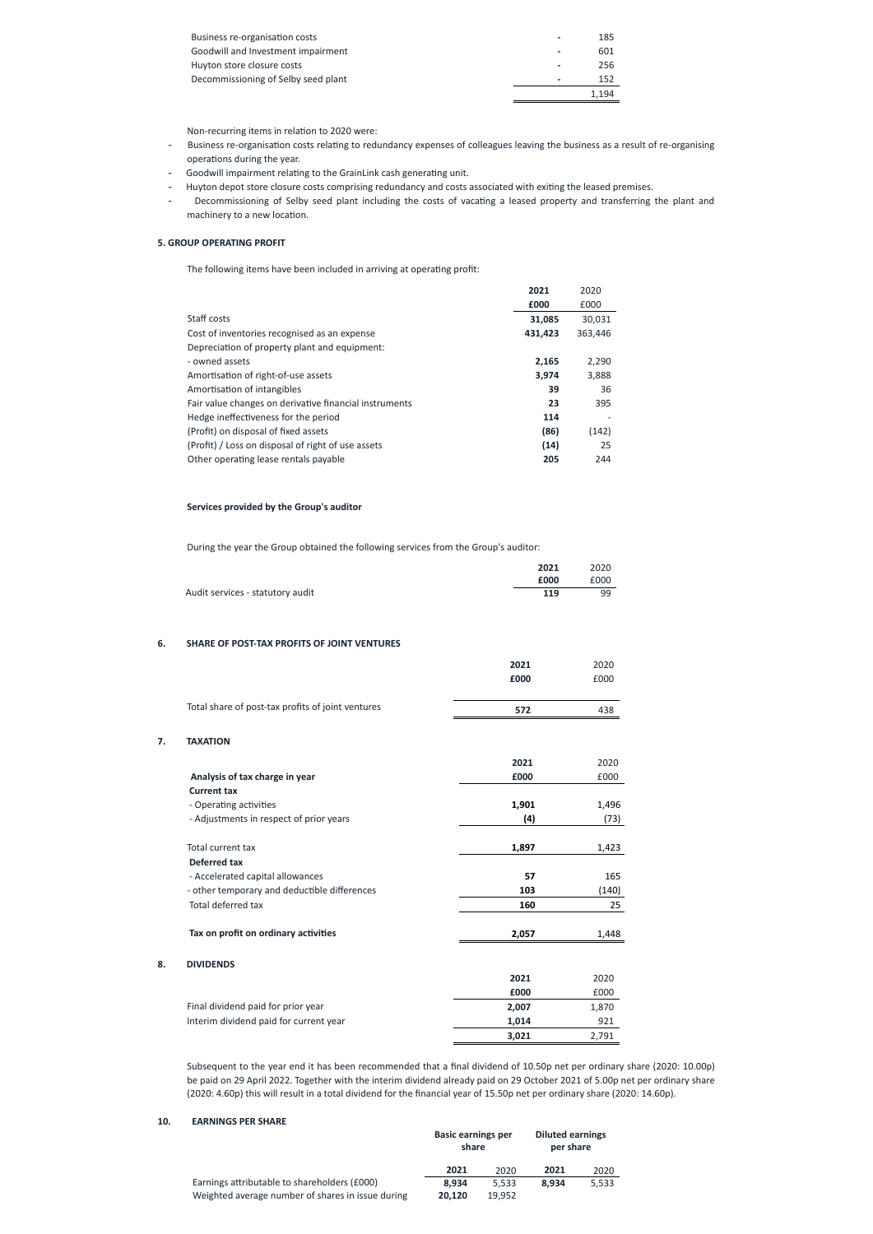| <b>Business re-organisation costs</b> |   | 185   |
|---------------------------------------|---|-------|
| Goodwill and Investment impairment    | ٠ | 601   |
| Huyton store closure costs            |   | 256   |
| Decommissioning of Selby seed plant   |   | 152   |
|                                       |   | 1.194 |

Non-recurring items in relation to 2020 were:

- Business re-organisation costs relating to redundancy expenses of colleagues leaving the business as a result of re-organising operations during the year.
- Goodwill impairment relating to the GrainLink cash generating unit.
- Huyton depot store closure costs comprising redundancy and costs associated with exiting the leased premises.
- Decommissioning of Selby seed plant including the costs of vacating a leased property and transferring the plant and machinery to a new location.

# **5. GROUP OPERATING PROFIT**

The following items have been included in arriving at operating profit:

|                                                        | 2021    | 2020    |
|--------------------------------------------------------|---------|---------|
|                                                        | £000    | £000    |
| Staff costs                                            | 31,085  | 30,031  |
| Cost of inventories recognised as an expense           | 431,423 | 363,446 |
| Depreciation of property plant and equipment:          |         |         |
| - owned assets                                         | 2,165   | 2,290   |
| Amortisation of right-of-use assets                    | 3,974   | 3,888   |
| Amortisation of intangibles                            | 39      | 36      |
| Fair value changes on derivative financial instruments | 23      | 395     |
| Hedge ineffectiveness for the period                   | 114     |         |
| (Profit) on disposal of fixed assets                   | (86)    | (142)   |
| (Profit) / Loss on disposal of right of use assets     | (14)    | 25      |
| Other operating lease rentals payable                  | 205     | 244     |

# **Services provided by the Group's auditor**

During the year the Group obtained the following services from the Group's auditor:

|                                  | 2021 | 2020 |
|----------------------------------|------|------|
|                                  | £000 | £000 |
| Audit services - statutory audit | 119  | 99   |

## **6. SHARE OF POST-TAX PROFITS OF JOINT VENTURES**

**7. TAXATION**

| £000  | £000  |
|-------|-------|
|       |       |
| 572   | 438   |
|       |       |
| 2021  | 2020  |
| £000  | £000  |
|       |       |
| 1,901 | 1,496 |
| (4)   | (73)  |
| 1,897 | 1,423 |
|       |       |
| 57    | 165   |
| 103   | (140) |
| 160   | 25    |
|       |       |

**8. DIVIDENDS**

| Tax on profit on ordinary activities   | 2,057 | 1,448 |
|----------------------------------------|-------|-------|
| <b>DIVIDENDS</b>                       |       |       |
|                                        | 2021  | 2020  |
|                                        | £000  | £000  |
| Final dividend paid for prior year     | 2,007 | 1,870 |
| Interim dividend paid for current year | 1,014 | 921   |
|                                        | 3,021 | 2,791 |

Subsequent to the year end it has been recommended that a final dividend of 10.50p net per ordinary share (2020: 10.00p) be paid on 29 April 2022. Together with the interim dividend already paid on 29 October 2021 of 5.00p net per ordinary share (2020: 4.60p) this will result in a total dividend for the financial year of 15.50p net per ordinary share (2020: 14.60p).

# **10. EARNINGS PER SHARE**

|                                                   | <b>Basic earnings per</b><br>share |        | <b>Diluted earnings</b><br>per share |       |
|---------------------------------------------------|------------------------------------|--------|--------------------------------------|-------|
|                                                   | 2021                               | 2020   | 2021                                 | 2020  |
| Earnings attributable to shareholders (£000)      | 8.934                              | 5.533  | 8.934                                | 5,533 |
| Weighted average number of shares in issue during | 20.120                             | 19.952 |                                      |       |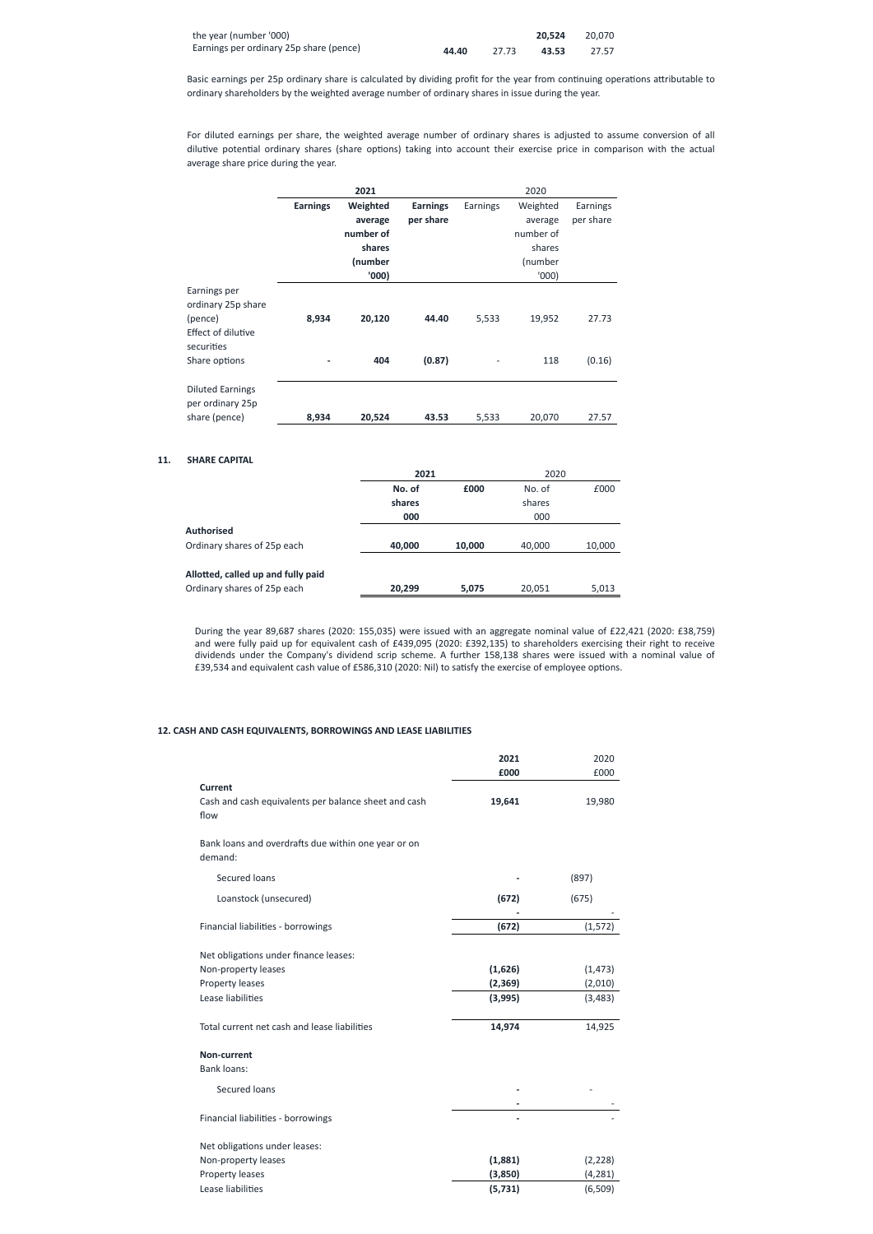| the year (number '000)                  |       |       | 20.524 | 20.070 |
|-----------------------------------------|-------|-------|--------|--------|
| Earnings per ordinary 25p share (pence) | 44.40 | 27.73 | 43.53  | 27.57  |

Basic earnings per 25p ordinary share is calculated by dividing profit for the year from continuing operations attributable to ordinary shareholders by the weighted average number of ordinary shares in issue during the year.

For diluted earnings per share, the weighted average number of ordinary shares is adjusted to assume conversion of all dilutive potential ordinary shares (share options) taking into account their exercise price in comparison with the actual average share price during the year.

|                                             |                 | 2021      |                 |          | 2020      |           |
|---------------------------------------------|-----------------|-----------|-----------------|----------|-----------|-----------|
|                                             | <b>Earnings</b> | Weighted  | <b>Earnings</b> | Earnings | Weighted  | Earnings  |
|                                             |                 | average   | per share       |          | average   | per share |
|                                             |                 | number of |                 |          | number of |           |
|                                             |                 | shares    |                 |          | shares    |           |
|                                             |                 | (number   |                 |          | (number   |           |
|                                             |                 | '000)     |                 |          | '000      |           |
| Earnings per<br>ordinary 25p share          |                 |           |                 |          |           |           |
| (pence)<br>Effect of dilutive<br>securities | 8,934           | 20,120    | 44.40           | 5,533    | 19,952    | 27.73     |
| Share options                               |                 | 404       | (0.87)          |          | 118       | (0.16)    |
| <b>Diluted Earnings</b><br>per ordinary 25p |                 |           |                 |          |           |           |
| share (pence)                               | 8,934           | 20,524    | 43.53           | 5,533    | 20,070    | 27.57     |

## **11. SHARE CAPITAL**

|                                    | 2021   |        | 2020   |        |
|------------------------------------|--------|--------|--------|--------|
|                                    | No. of | £000   | No. of | £000   |
|                                    | shares |        | shares |        |
|                                    | 000    |        | 000    |        |
| <b>Authorised</b>                  |        |        |        |        |
| Ordinary shares of 25p each        | 40,000 | 10,000 | 40,000 | 10,000 |
|                                    |        |        |        |        |
| Allotted, called up and fully paid |        |        |        |        |
| Ordinary shares of 25p each        | 20,299 | 5,075  | 20,051 | 5,013  |

During the year 89,687 shares (2020: 155,035) were issued with an aggregate nominal value of £22,421 (2020: £38,759) and were fully paid up for equivalent cash of £439,095 (2020: £392,135) to shareholders exercising their right to receive dividends under the Company's dividend scrip scheme. A further 158,138 shares were issued with a nominal value of £39,534 and equivalent cash value of £586,310 (2020: Nil) to satisfy the exercise of employee options.

# **12. CASH AND CASH EQUIVALENTS, BORROWINGS AND LEASE LIABILITIES**

|                                                                | 2021     | 2020     |
|----------------------------------------------------------------|----------|----------|
|                                                                | £000     | £000     |
| <b>Current</b>                                                 |          |          |
| Cash and cash equivalents per balance sheet and cash<br>flow   | 19,641   | 19,980   |
| Bank loans and overdrafts due within one year or on<br>demand: |          |          |
| Secured loans                                                  |          | (897)    |
| Loanstock (unsecured)                                          | (672)    | (675)    |
| Financial liabilities - borrowings                             | (672)    | (1, 572) |
| Net obligations under finance leases:                          |          |          |
| Non-property leases                                            | (1,626)  | (1, 473) |
| Property leases                                                | (2, 369) | (2,010)  |
| Lease liabilities                                              | (3,995)  | (3, 483) |
| Total current net cash and lease liabilities                   | 14,974   | 14,925   |
| Non-current                                                    |          |          |
| <b>Bank loans:</b>                                             |          |          |
| Secured loans                                                  |          |          |
|                                                                |          |          |
| Financial liabilities - borrowings                             |          |          |
| Net obligations under leases:                                  |          |          |
| Non-property leases                                            | (1,881)  | (2, 228) |
| Property leases                                                | (3,850)  | (4, 281) |
| Lease liabilities                                              | (5, 731) | (6, 509) |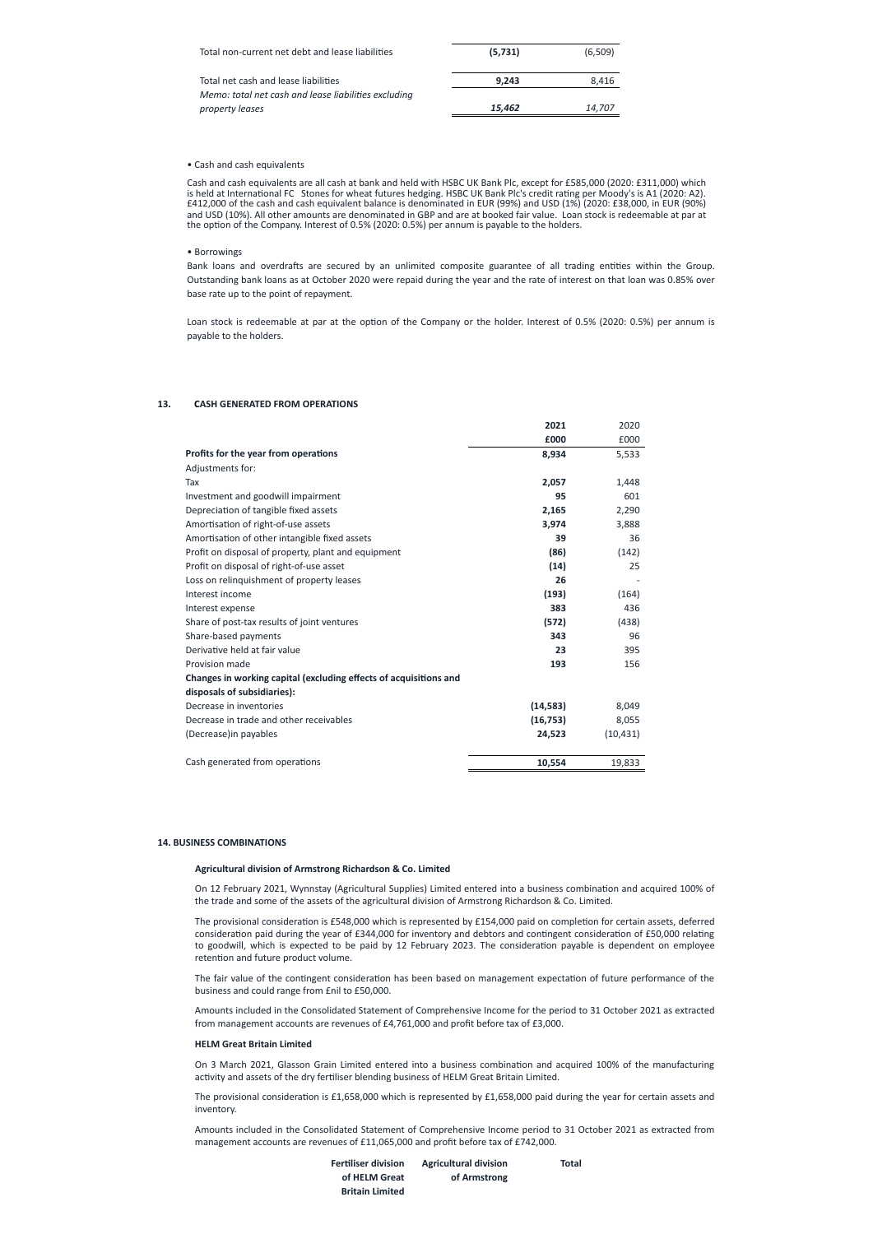| Total non-current net debt and lease liabilities     | (5,731) | (6,509) |
|------------------------------------------------------|---------|---------|
| Total net cash and lease liabilities                 | 9.243   | 8.416   |
| Memo: total net cash and lease liabilities excluding |         |         |
| property leases                                      | 15.462  | 14.707  |

#### • Cash and cash equivalents

Cash and cash equivalents are all cash at bank and held with HSBC UK Bank Plc, except for £585,000 (2020: £311,000) which is held at International FC Stones for wheat futures hedging. HSBC UK Bank Plc's credit rating per Moody's is A1 (2020: A2). £412,000 of the cash and cash equivalent balance is denominated in EUR (99%) and USD (1%) (2020: £38,000, in EUR (90%) and USD (10%). All other amounts are denominated in GBP and are at booked fair value. Loan stock is redeemable at par at the option of the Company. Interest of 0.5% (2020: 0.5%) per annum is payable to the holders.

## • Borrowings

Bank loans and overdrafts are secured by an unlimited composite guarantee of all trading entities within the Group. Outstanding bank loans as at October 2020 were repaid during the year and the rate of interest on that loan was 0.85% over base rate up to the point of repayment.

Loan stock is redeemable at par at the option of the Company or the holder. Interest of 0.5% (2020: 0.5%) per annum is payable to the holders.

# **13. CASH GENERATED FROM OPERATIONS**

|                                                                   | 2021      | 2020      |
|-------------------------------------------------------------------|-----------|-----------|
|                                                                   | £000      | £000      |
| Profits for the year from operations                              | 8,934     | 5,533     |
| Adjustments for:                                                  |           |           |
| Tax                                                               | 2,057     | 1,448     |
| Investment and goodwill impairment                                | 95        | 601       |
| Depreciation of tangible fixed assets                             | 2,165     | 2,290     |
| Amortisation of right-of-use assets                               | 3,974     | 3,888     |
| Amortisation of other intangible fixed assets                     | 39        | 36        |
| Profit on disposal of property, plant and equipment               | (86)      | (142)     |
| Profit on disposal of right-of-use asset                          | (14)      | 25        |
| Loss on relinquishment of property leases                         | 26        |           |
| Interest income                                                   | (193)     | (164)     |
| Interest expense                                                  | 383       | 436       |
| Share of post-tax results of joint ventures                       | (572)     | (438)     |
| Share-based payments                                              | 343       | 96        |
| Derivative held at fair value                                     | 23        | 395       |
| Provision made                                                    | 193       | 156       |
| Changes in working capital (excluding effects of acquisitions and |           |           |
| disposals of subsidiaries):                                       |           |           |
| Decrease in inventories                                           | (14, 583) | 8,049     |
| Decrease in trade and other receivables                           | (16, 753) | 8,055     |
| (Decrease) in payables                                            | 24,523    | (10, 431) |
| Cash generated from operations                                    | 10,554    | 19,833    |

## **14. BUSINESS COMBINATIONS**

## **Agricultural division of Armstrong Richardson & Co. Limited**

On 12 February 2021, Wynnstay (Agricultural Supplies) Limited entered into a business combination and acquired 100% of the trade and some of the assets of the agricultural division of Armstrong Richardson & Co. Limited.

The provisional consideration is £548,000 which is represented by £154,000 paid on completion for certain assets, deferred consideration paid during the year of £344,000 for inventory and debtors and contingent consideration of £50,000 relating to goodwill, which is expected to be paid by 12 February 2023. The consideration payable is dependent on employee retention and future product volume.

The fair value of the contingent consideration has been based on management expectation of future performance of the business and could range from £nil to £50,000.

Amounts included in the Consolidated Statement of Comprehensive Income for the period to 31 October 2021 as extracted from management accounts are revenues of £4,761,000 and profit before tax of £3,000.

## **HELM Great Britain Limited**

On 3 March 2021, Glasson Grain Limited entered into a business combination and acquired 100% of the manufacturing activity and assets of the dry fertiliser blending business of HELM Great Britain Limited.

The provisional consideration is £1,658,000 which is represented by £1,658,000 paid during the year for certain assets and inventory.

Amounts included in the Consolidated Statement of Comprehensive Income period to 31 October 2021 as extracted from management accounts are revenues of £11,065,000 and profit before tax of £742,000.

| <b>Fertiliser division</b> | <b>Agricultural division</b> | Total |
|----------------------------|------------------------------|-------|
| of HELM Great              | of Armstrong                 |       |
| <b>Britain Limited</b>     |                              |       |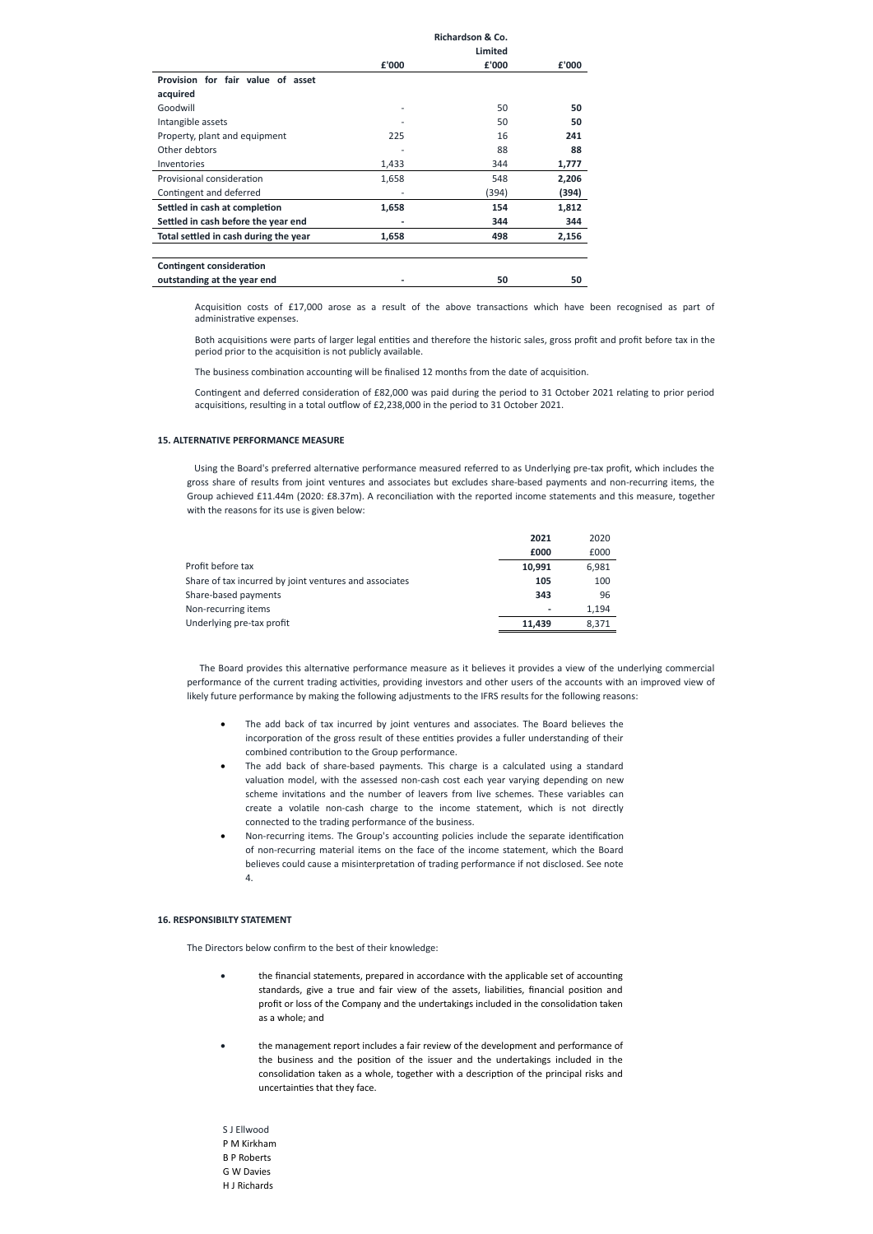|                                       | Richardson & Co. |         |       |
|---------------------------------------|------------------|---------|-------|
|                                       |                  | Limited |       |
|                                       | £'000            | £'000   | £'000 |
| Provision for fair value of asset     |                  |         |       |
| acquired                              |                  |         |       |
| Goodwill                              |                  | 50      | 50    |
| Intangible assets                     |                  | 50      | 50    |
| Property, plant and equipment         | 225              | 16      | 241   |
| Other debtors                         |                  | 88      | 88    |
| Inventories                           | 1,433            | 344     | 1,777 |
| Provisional consideration             | 1,658            | 548     | 2,206 |
| Contingent and deferred               |                  | (394)   | (394) |
| Settled in cash at completion         | 1,658            | 154     | 1,812 |
| Settled in cash before the year end   |                  | 344     | 344   |
| Total settled in cash during the year | 1,658            | 498     | 2,156 |
|                                       |                  |         |       |
| Contingent consideration              |                  |         |       |
| outstanding at the year end           |                  | 50      | 50    |

Acquisition costs of £17,000 arose as a result of the above transactions which have been recognised as part of administrative expenses.

Both acquisitions were parts of larger legal entities and therefore the historic sales, gross profit and profit before tax in the period prior to the acquisition is not publicly available.

The business combination accounting will be finalised 12 months from the date of acquisition.

Contingent and deferred consideration of £82,000 was paid during the period to 31 October 2021 relating to prior period acquisitions, resulting in a total outflow of £2,238,000 in the period to 31 October 2021.

## **15. ALTERNATIVE PERFORMANCE MEASURE**

Using the Board's preferred alternative performance measured referred to as Underlying pre-tax profit, which includes the gross share of results from joint ventures and associates but excludes share-based payments and non-recurring items, the Group achieved £11.44m (2020: £8.37m). A reconciliation with the reported income statements and this measure, together with the reasons for its use is given below:

- The add back of tax incurred by joint ventures and associates. The Board believes the incorporation of the gross result of these entities provides a fuller understanding of their combined contribution to the Group performance.
- The add back of share-based payments. This charge is a calculated using a standard valuation model, with the assessed non-cash cost each year varying depending on new scheme invitations and the number of leavers from live schemes. These variables can create a volatile non-cash charge to the income statement, which is not directly connected to the trading performance of the business.
- · Non-recurring items. The Group's accounting policies include the separate identification of non-recurring material items on the face of the income statement, which the Board believes could cause a misinterpretation of trading performance if not disclosed. See note 4.

|                                                        | 2021   | 2020  |
|--------------------------------------------------------|--------|-------|
|                                                        | £000   | £000  |
| Profit before tax                                      | 10,991 | 6,981 |
| Share of tax incurred by joint ventures and associates | 105    | 100   |
| Share-based payments                                   | 343    | 96    |
| Non-recurring items                                    | ٠      | 1,194 |
| Underlying pre-tax profit                              | 11.439 | 8.371 |

- the financial statements, prepared in accordance with the applicable set of accounting standards, give a true and fair view of the assets, liabilities, financial position and profit or loss of the Company and the undertakings included in the consolidation taken as a whole; and
- · the management report includes a fair review of the development and performance of the business and the position of the issuer and the undertakings included in the consolidation taken as a whole, together with a description of the principal risks and uncertainties that they face.

The Board provides this alternative performance measure as it believes it provides a view of the underlying commercial performance of the current trading activities, providing investors and other users of the accounts with an improved view of likely future performance by making the following adjustments to the IFRS results for the following reasons:

The Directors below confirm to the best of their knowledge:

S J Ellwood P M Kirkham B P Roberts G W Davies H J Richards